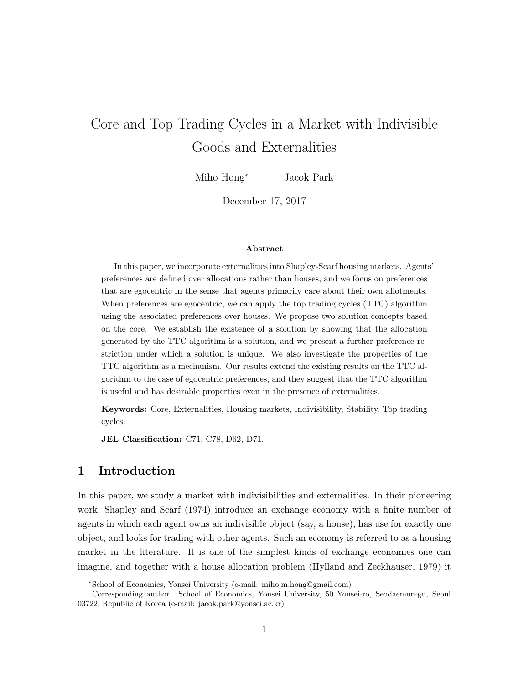# Core and Top Trading Cycles in a Market with Indivisible Goods and Externalities

Miho Hong*<sup>∗</sup>* Jaeok Park*†*

December 17, 2017

### **Abstract**

In this paper, we incorporate externalities into Shapley-Scarf housing markets. Agents' preferences are defined over allocations rather than houses, and we focus on preferences that are egocentric in the sense that agents primarily care about their own allotments. When preferences are egocentric, we can apply the top trading cycles (TTC) algorithm using the associated preferences over houses. We propose two solution concepts based on the core. We establish the existence of a solution by showing that the allocation generated by the TTC algorithm is a solution, and we present a further preference restriction under which a solution is unique. We also investigate the properties of the TTC algorithm as a mechanism. Our results extend the existing results on the TTC algorithm to the case of egocentric preferences, and they suggest that the TTC algorithm is useful and has desirable properties even in the presence of externalities.

**Keywords:** Core, Externalities, Housing markets, Indivisibility, Stability, Top trading cycles.

**JEL Classification:** C71, C78, D62, D71.

# **1 Introduction**

In this paper, we study a market with indivisibilities and externalities. In their pioneering work, Shapley and Scarf (1974) introduce an exchange economy with a finite number of agents in which each agent owns an indivisible object (say, a house), has use for exactly one object, and looks for trading with other agents. Such an economy is referred to as a housing market in the literature. It is one of the simplest kinds of exchange economies one can imagine, and together with a house allocation problem (Hylland and Zeckhauser, 1979) it

*<sup>∗</sup>*School of Economics, Yonsei University (e-mail: miho.m.hong@gmail.com)

*<sup>†</sup>*Corresponding author. School of Economics, Yonsei University, 50 Yonsei-ro, Seodaemun-gu, Seoul 03722, Republic of Korea (e-mail: jaeok.park@yonsei.ac.kr)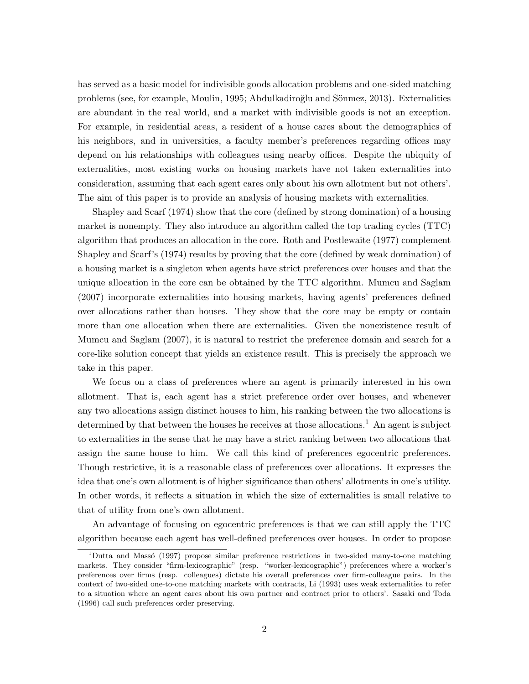has served as a basic model for indivisible goods allocation problems and one-sided matching problems (see, for example, Moulin, 1995; Abdulkadiroğlu and Sönmez, 2013). Externalities are abundant in the real world, and a market with indivisible goods is not an exception. For example, in residential areas, a resident of a house cares about the demographics of his neighbors, and in universities, a faculty member's preferences regarding offices may depend on his relationships with colleagues using nearby offices. Despite the ubiquity of externalities, most existing works on housing markets have not taken externalities into consideration, assuming that each agent cares only about his own allotment but not others'. The aim of this paper is to provide an analysis of housing markets with externalities.

Shapley and Scarf (1974) show that the core (defined by strong domination) of a housing market is nonempty. They also introduce an algorithm called the top trading cycles (TTC) algorithm that produces an allocation in the core. Roth and Postlewaite (1977) complement Shapley and Scarf's (1974) results by proving that the core (defined by weak domination) of a housing market is a singleton when agents have strict preferences over houses and that the unique allocation in the core can be obtained by the TTC algorithm. Mumcu and Saglam (2007) incorporate externalities into housing markets, having agents' preferences defined over allocations rather than houses. They show that the core may be empty or contain more than one allocation when there are externalities. Given the nonexistence result of Mumcu and Saglam (2007), it is natural to restrict the preference domain and search for a core-like solution concept that yields an existence result. This is precisely the approach we take in this paper.

We focus on a class of preferences where an agent is primarily interested in his own allotment. That is, each agent has a strict preference order over houses, and whenever any two allocations assign distinct houses to him, his ranking between the two allocations is determined by that between the houses he receives at those allocations.<sup>1</sup> An agent is subject to externalities in the sense that he may have a strict ranking between two allocations that assign the same house to him. We call this kind of preferences egocentric preferences. Though restrictive, it is a reasonable class of preferences over allocations. It expresses the idea that one's own allotment is of higher significance than others' allotments in one's utility. In other words, it reflects a situation in which the size of externalities is small relative to that of utility from one's own allotment.

An advantage of focusing on egocentric preferences is that we can still apply the TTC algorithm because each agent has well-defined preferences over houses. In order to propose

<sup>&</sup>lt;sup>1</sup>Dutta and Massó (1997) propose similar preference restrictions in two-sided many-to-one matching markets. They consider "firm-lexicographic" (resp. "worker-lexicographic") preferences where a worker's preferences over firms (resp. colleagues) dictate his overall preferences over firm-colleague pairs. In the context of two-sided one-to-one matching markets with contracts, Li (1993) uses weak externalities to refer to a situation where an agent cares about his own partner and contract prior to others'. Sasaki and Toda (1996) call such preferences order preserving.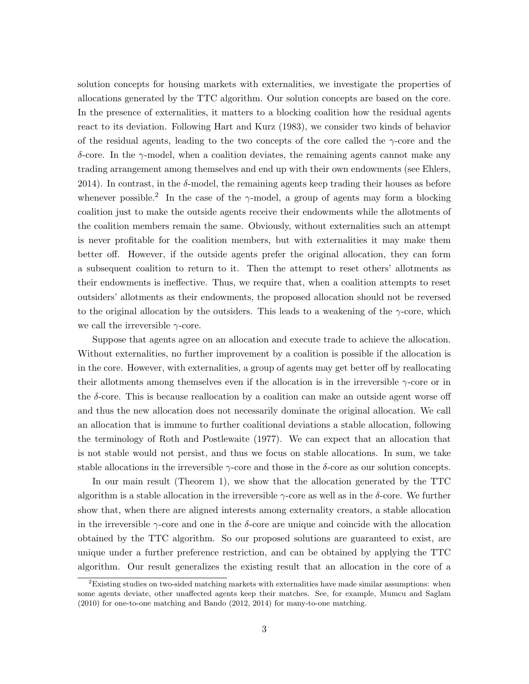solution concepts for housing markets with externalities, we investigate the properties of allocations generated by the TTC algorithm. Our solution concepts are based on the core. In the presence of externalities, it matters to a blocking coalition how the residual agents react to its deviation. Following Hart and Kurz (1983), we consider two kinds of behavior of the residual agents, leading to the two concepts of the core called the *γ*-core and the *δ*-core. In the *γ*-model, when a coalition deviates, the remaining agents cannot make any trading arrangement among themselves and end up with their own endowments (see Ehlers, 2014). In contrast, in the  $\delta$ -model, the remaining agents keep trading their houses as before whenever possible.<sup>2</sup> In the case of the  $\gamma$ -model, a group of agents may form a blocking coalition just to make the outside agents receive their endowments while the allotments of the coalition members remain the same. Obviously, without externalities such an attempt is never profitable for the coalition members, but with externalities it may make them better off. However, if the outside agents prefer the original allocation, they can form a subsequent coalition to return to it. Then the attempt to reset others' allotments as their endowments is ineffective. Thus, we require that, when a coalition attempts to reset outsiders' allotments as their endowments, the proposed allocation should not be reversed to the original allocation by the outsiders. This leads to a weakening of the *γ*-core, which we call the irreversible *γ*-core.

Suppose that agents agree on an allocation and execute trade to achieve the allocation. Without externalities, no further improvement by a coalition is possible if the allocation is in the core. However, with externalities, a group of agents may get better off by reallocating their allotments among themselves even if the allocation is in the irreversible *γ*-core or in the *δ*-core. This is because reallocation by a coalition can make an outside agent worse off and thus the new allocation does not necessarily dominate the original allocation. We call an allocation that is immune to further coalitional deviations a stable allocation, following the terminology of Roth and Postlewaite (1977). We can expect that an allocation that is not stable would not persist, and thus we focus on stable allocations. In sum, we take stable allocations in the irreversible *γ*-core and those in the *δ*-core as our solution concepts.

In our main result (Theorem 1), we show that the allocation generated by the TTC algorithm is a stable allocation in the irreversible *γ*-core as well as in the *δ*-core. We further show that, when there are aligned interests among externality creators, a stable allocation in the irreversible *γ*-core and one in the *δ*-core are unique and coincide with the allocation obtained by the TTC algorithm. So our proposed solutions are guaranteed to exist, are unique under a further preference restriction, and can be obtained by applying the TTC algorithm. Our result generalizes the existing result that an allocation in the core of a

 $2$ Existing studies on two-sided matching markets with externalities have made similar assumptions: when some agents deviate, other unaffected agents keep their matches. See, for example, Mumcu and Saglam (2010) for one-to-one matching and Bando (2012, 2014) for many-to-one matching.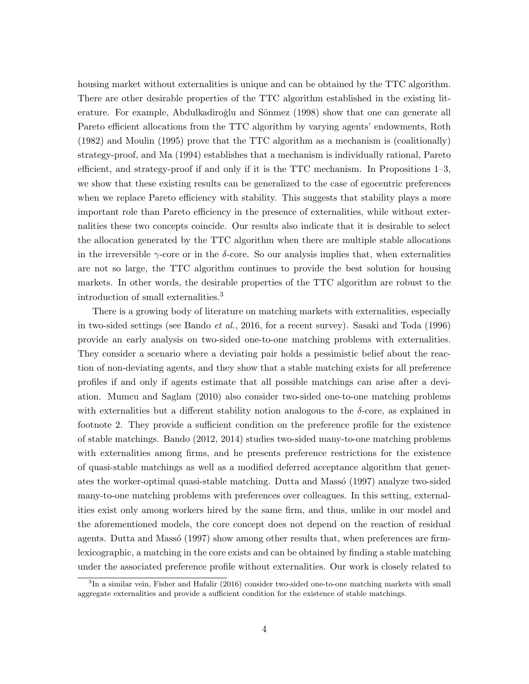housing market without externalities is unique and can be obtained by the TTC algorithm. There are other desirable properties of the TTC algorithm established in the existing literature. For example, Abdulkadiroğlu and Sönmez (1998) show that one can generate all Pareto efficient allocations from the TTC algorithm by varying agents' endowments, Roth (1982) and Moulin (1995) prove that the TTC algorithm as a mechanism is (coalitionally) strategy-proof, and Ma (1994) establishes that a mechanism is individually rational, Pareto efficient, and strategy-proof if and only if it is the TTC mechanism. In Propositions 1–3, we show that these existing results can be generalized to the case of egocentric preferences when we replace Pareto efficiency with stability. This suggests that stability plays a more important role than Pareto efficiency in the presence of externalities, while without externalities these two concepts coincide. Our results also indicate that it is desirable to select the allocation generated by the TTC algorithm when there are multiple stable allocations in the irreversible  $\gamma$ -core or in the *δ*-core. So our analysis implies that, when externalities are not so large, the TTC algorithm continues to provide the best solution for housing markets. In other words, the desirable properties of the TTC algorithm are robust to the introduction of small externalities.<sup>3</sup>

There is a growing body of literature on matching markets with externalities, especially in two-sided settings (see Bando *et al.*, 2016, for a recent survey). Sasaki and Toda (1996) provide an early analysis on two-sided one-to-one matching problems with externalities. They consider a scenario where a deviating pair holds a pessimistic belief about the reaction of non-deviating agents, and they show that a stable matching exists for all preference profiles if and only if agents estimate that all possible matchings can arise after a deviation. Mumcu and Saglam (2010) also consider two-sided one-to-one matching problems with externalities but a different stability notion analogous to the  $\delta$ -core, as explained in footnote 2. They provide a sufficient condition on the preference profile for the existence of stable matchings. Bando (2012, 2014) studies two-sided many-to-one matching problems with externalities among firms, and he presents preference restrictions for the existence of quasi-stable matchings as well as a modified deferred acceptance algorithm that generates the worker-optimal quasi-stable matching. Dutta and Masso (1997) analyze two-sided many-to-one matching problems with preferences over colleagues. In this setting, externalities exist only among workers hired by the same firm, and thus, unlike in our model and the aforementioned models, the core concept does not depend on the reaction of residual agents. Dutta and Masso (1997) show among other results that, when preferences are firmlexicographic, a matching in the core exists and can be obtained by finding a stable matching under the associated preference profile without externalities. Our work is closely related to

<sup>&</sup>lt;sup>3</sup>In a similar vein, Fisher and Hafalir (2016) consider two-sided one-to-one matching markets with small aggregate externalities and provide a sufficient condition for the existence of stable matchings.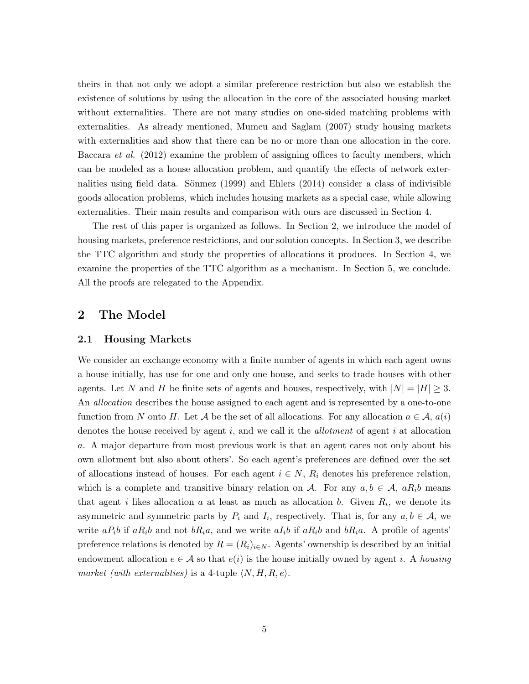theirs in that not only we adopt a similar preference restriction but also we establish the existence of solutions by using the allocation in the core of the associated housing market without externalities. There are not many studies on one-sided matching problems with externalities. As already mentioned, Mumcu and Saglam (2007) study housing markets with externalities and show that there can be no or more than one allocation in the core. Baccara *et al.* (2012) examine the problem of assigning offices to faculty members, which can be modeled as a house allocation problem, and quantify the effects of network externalities using field data. Sönmez  $(1999)$  and Ehlers  $(2014)$  consider a class of indivisible goods allocation problems, which includes housing markets as a special case, while allowing externalities. Their main results and comparison with ours are discussed in Section 4.

The rest of this paper is organized as follows. In Section 2, we introduce the model of housing markets, preference restrictions, and our solution concepts. In Section 3, we describe the TTC algorithm and study the properties of allocations it produces. In Section 4, we examine the properties of the TTC algorithm as a mechanism. In Section 5, we conclude. All the proofs are relegated to the Appendix.

# **2 The Model**

### **2.1 Housing Markets**

We consider an exchange economy with a finite number of agents in which each agent owns a house initially, has use for one and only one house, and seeks to trade houses with other agents. Let *N* and *H* be finite sets of agents and houses, respectively, with  $|N| = |H| \geq 3$ . An *allocation* describes the house assigned to each agent and is represented by a one-to-one function from *N* onto *H*. Let *A* be the set of all allocations. For any allocation  $a \in A$ ,  $a(i)$ denotes the house received by agent *i*, and we call it the *allotment* of agent *i* at allocation *a*. A major departure from most previous work is that an agent cares not only about his own allotment but also about others'. So each agent's preferences are defined over the set of allocations instead of houses. For each agent  $i \in N$ ,  $R_i$  denotes his preference relation, which is a complete and transitive binary relation on *A*. For any  $a, b \in A$ ,  $aR_i b$  means that agent *i* likes allocation *a* at least as much as allocation *b*. Given  $R_i$ , we denote its asymmetric and symmetric parts by  $P_i$  and  $I_i$ , respectively. That is, for any  $a, b \in A$ , we write  $aP_i b$  if  $aR_i b$  and not  $bR_i a$ , and we write  $aI_i b$  if  $aR_i b$  and  $bR_i a$ . A profile of agents' preference relations is denoted by  $R = (R_i)_{i \in N}$ . Agents' ownership is described by an initial endowment allocation  $e \in A$  so that  $e(i)$  is the house initially owned by agent *i*. A *housing market (with externalities)* is a 4-tuple  $\langle N, H, R, e \rangle$ .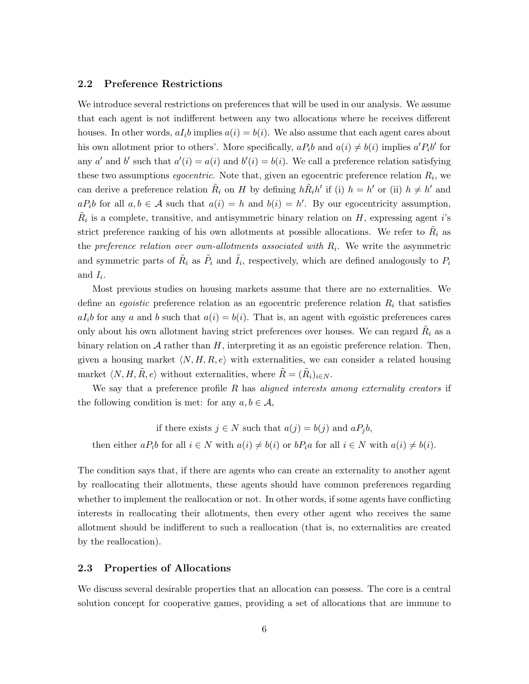### **2.2 Preference Restrictions**

We introduce several restrictions on preferences that will be used in our analysis. We assume that each agent is not indifferent between any two allocations where he receives different houses. In other words,  $aI_i b$  implies  $a(i) = b(i)$ . We also assume that each agent cares about his own allotment prior to others'. More specifically,  $aP_i b$  and  $a(i) \neq b(i)$  implies  $a'P_i b'$  for any *a'* and *b'* such that  $a'(i) = a(i)$  and  $b'(i) = b(i)$ . We call a preference relation satisfying these two assumptions *egocentric*. Note that, given an egocentric preference relation  $R_i$ , we can derive a preference relation  $\tilde{R}_i$  on *H* by defining  $h\tilde{R}_i h'$  if (i)  $h = h'$  or (ii)  $h \neq h'$  and  $aP_i$ *b* for all  $a, b \in A$  such that  $a(i) = h$  and  $b(i) = h'$ . By our egocentricity assumption,  $\tilde{R}_i$  is a complete, transitive, and antisymmetric binary relation on *H*, expressing agent *i*'s strict preference ranking of his own allotments at possible allocations. We refer to  $\tilde{R}_i$  as the *preference relation over own-allotments associated with R<sup>i</sup>* . We write the asymmetric and symmetric parts of  $\tilde{R}_i$  as  $\tilde{P}_i$  and  $\tilde{I}_i$ , respectively, which are defined analogously to  $P_i$ and  $I_i$ .

Most previous studies on housing markets assume that there are no externalities. We define an *egoistic* preference relation as an egocentric preference relation *R<sup>i</sup>* that satisfies  $aI_i$ *b* for any *a* and *b* such that  $a(i) = b(i)$ . That is, an agent with egoistic preferences cares only about his own allotment having strict preferences over houses. We can regard  $\tilde{R}_i$  as a binary relation on *A* rather than *H*, interpreting it as an egoistic preference relation. Then, given a housing market  $\langle N, H, R, e \rangle$  with externalities, we can consider a related housing market  $\langle N, H, \tilde{R}, e \rangle$  without externalities, where  $\tilde{R} = (\tilde{R}_i)_{i \in N}$ .

We say that a preference profile *R* has *aligned interests among externality creators* if the following condition is met: for any  $a, b \in \mathcal{A}$ ,

$$
\text{if there exists } j \in N \text{ such that } a(j) = b(j) \text{ and } aP_jb,
$$
\n
$$
\text{then either } aP_i b \text{ for all } i \in N \text{ with } a(i) \neq b(i) \text{ or } bP_i a \text{ for all } i \in N \text{ with } a(i) \neq b(i).
$$

The condition says that, if there are agents who can create an externality to another agent by reallocating their allotments, these agents should have common preferences regarding whether to implement the reallocation or not. In other words, if some agents have conflicting interests in reallocating their allotments, then every other agent who receives the same allotment should be indifferent to such a reallocation (that is, no externalities are created by the reallocation).

### **2.3 Properties of Allocations**

We discuss several desirable properties that an allocation can possess. The core is a central solution concept for cooperative games, providing a set of allocations that are immune to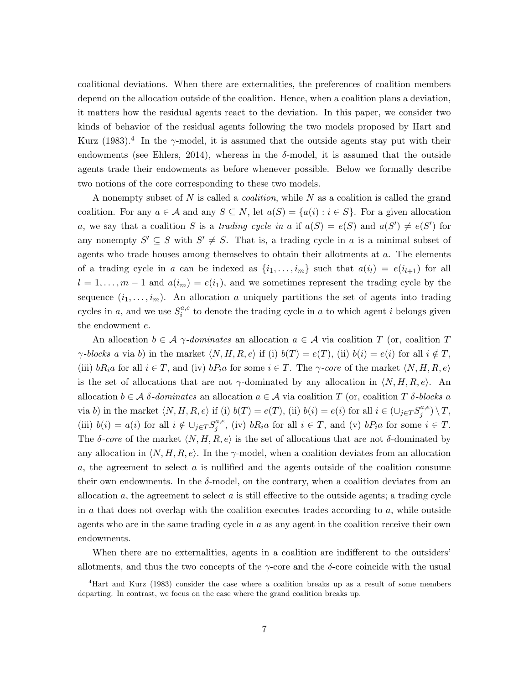coalitional deviations. When there are externalities, the preferences of coalition members depend on the allocation outside of the coalition. Hence, when a coalition plans a deviation, it matters how the residual agents react to the deviation. In this paper, we consider two kinds of behavior of the residual agents following the two models proposed by Hart and Kurz (1983).<sup>4</sup> In the  $\gamma$ -model, it is assumed that the outside agents stay put with their endowments (see Ehlers, 2014), whereas in the  $\delta$ -model, it is assumed that the outside agents trade their endowments as before whenever possible. Below we formally describe two notions of the core corresponding to these two models.

A nonempty subset of *N* is called a *coalition*, while *N* as a coalition is called the grand coalition. For any  $a \in \mathcal{A}$  and any  $S \subseteq N$ , let  $a(S) = \{a(i) : i \in S\}$ . For a given allocation *a*, we say that a coalition *S* is a *trading cycle in a* if  $a(S) = e(S)$  and  $a(S') \neq e(S')$  for any nonempty  $S' \subseteq S$  with  $S' \neq S$ . That is, a trading cycle in *a* is a minimal subset of agents who trade houses among themselves to obtain their allotments at *a*. The elements of a trading cycle in *a* can be indexed as  $\{i_1, \ldots, i_m\}$  such that  $a(i_l) = e(i_{l+1})$  for all  $l = 1, \ldots, m-1$  and  $a(i_m) = e(i_1)$ , and we sometimes represent the trading cycle by the sequence  $(i_1, \ldots, i_m)$ . An allocation *a* uniquely partitions the set of agents into trading cycles in *a*, and we use  $S_i^{a,e}$  $i_i^{a,e}$  to denote the trading cycle in *a* to which agent *i* belongs given the endowment *e*.

An allocation  $b \in \mathcal{A}$   $\gamma$ -dominates an allocation  $a \in \mathcal{A}$  via coalition *T* (or, coalition *T γ*-blocks *a* via *b*) in the market  $\langle N, H, R, e \rangle$  if (i)  $b(T) = e(T)$ , (ii)  $b(i) = e(i)$  for all  $i \notin T$ , (iii)  $bR_i a$  for all  $i \in T$ , and (iv)  $bP_i a$  for some  $i \in T$ . The *γ-core* of the market  $\langle N, H, R, e \rangle$ is the set of allocations that are not  $\gamma$ -dominated by any allocation in  $\langle N, H, R, e \rangle$ . An allocation  $b \in \mathcal{A}$  *δ-dominates* an allocation  $a \in \mathcal{A}$  via coalition *T* (or, coalition *T δ-blocks a* via b) in the market  $\langle N, H, R, e \rangle$  if (i)  $b(T) = e(T)$ , (ii)  $b(i) = e(i)$  for all  $i \in (\bigcup_{j \in T} S_j^{a,e})$  $j^{a,e})\setminus T,$ (iii)  $b(i) = a(i)$  for all  $i \notin \bigcup_{j \in T} S_j^{a,e}$  $j^{a,e}$ , (iv) *bR*<sub>i</sub>*a* for all  $i \in T$ , and (v) *bP*<sub>i</sub>*a* for some  $i \in T$ . The  $\delta$ -core of the market  $\langle N, H, R, e \rangle$  is the set of allocations that are not  $\delta$ -dominated by any allocation in  $\langle N, H, R, e \rangle$ . In the  $\gamma$ -model, when a coalition deviates from an allocation *a*, the agreement to select *a* is nullified and the agents outside of the coalition consume their own endowments. In the  $\delta$ -model, on the contrary, when a coalition deviates from an allocation *a*, the agreement to select *a* is still effective to the outside agents; a trading cycle in *a* that does not overlap with the coalition executes trades according to *a*, while outside agents who are in the same trading cycle in *a* as any agent in the coalition receive their own endowments.

When there are no externalities, agents in a coalition are indifferent to the outsiders' allotments, and thus the two concepts of the  $\gamma$ -core and the  $\delta$ -core coincide with the usual

<sup>4</sup>Hart and Kurz (1983) consider the case where a coalition breaks up as a result of some members departing. In contrast, we focus on the case where the grand coalition breaks up.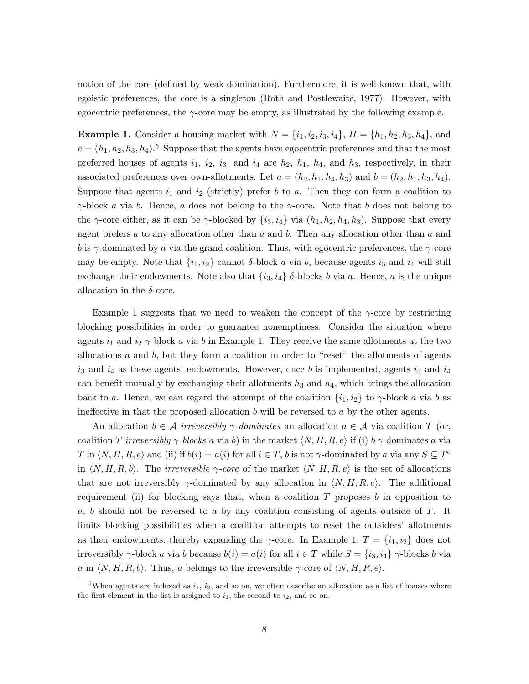notion of the core (defined by weak domination). Furthermore, it is well-known that, with egoistic preferences, the core is a singleton (Roth and Postlewaite, 1977). However, with egocentric preferences, the *γ*-core may be empty, as illustrated by the following example.

**Example 1.** Consider a housing market with  $N = \{i_1, i_2, i_3, i_4\}, H = \{h_1, h_2, h_3, h_4\},$  and  $e = (h_1, h_2, h_3, h_4)$ .<sup>5</sup> Suppose that the agents have egocentric preferences and that the most preferred houses of agents  $i_1$ ,  $i_2$ ,  $i_3$ , and  $i_4$  are  $h_2$ ,  $h_1$ ,  $h_4$ , and  $h_3$ , respectively, in their associated preferences over own-allotments. Let  $a = (h_2, h_1, h_4, h_3)$  and  $b = (h_2, h_1, h_3, h_4)$ . Suppose that agents  $i_1$  and  $i_2$  (strictly) prefer *b* to *a*. Then they can form a coalition to *γ*-block *a* via *b*. Hence, *a* does not belong to the *γ*-core. Note that *b* does not belong to the *γ*-core either, as it can be *γ*-blocked by  $\{i_3, i_4\}$  via  $(h_1, h_2, h_4, h_3)$ . Suppose that every agent prefers *a* to any allocation other than *a* and *b*. Then any allocation other than *a* and *b* is  $\gamma$ -dominated by *a* via the grand coalition. Thus, with egocentric preferences, the  $\gamma$ -core may be empty. Note that  $\{i_1, i_2\}$  cannot  $\delta$ -block *a* via *b*, because agents  $i_3$  and  $i_4$  will still exchange their endowments. Note also that  $\{i_3, i_4\}$   $\delta$ -blocks *b* via *a*. Hence, *a* is the unique allocation in the *δ*-core.

Example 1 suggests that we need to weaken the concept of the  $\gamma$ -core by restricting blocking possibilities in order to guarantee nonemptiness. Consider the situation where agents  $i_1$  and  $i_2$   $\gamma$ -block *a* via *b* in Example 1. They receive the same allotments at the two allocations *a* and *b*, but they form a coalition in order to "reset" the allotments of agents  $i_3$  and  $i_4$  as these agents' endowments. However, once *b* is implemented, agents  $i_3$  and  $i_4$ can benefit mutually by exchanging their allotments  $h_3$  and  $h_4$ , which brings the allocation back to *a*. Hence, we can regard the attempt of the coalition  $\{i_1, i_2\}$  to  $\gamma$ -block *a* via *b* as ineffective in that the proposed allocation *b* will be reversed to *a* by the other agents.

An allocation  $b \in \mathcal{A}$  *irreversibly*  $\gamma$ *-dominates* an allocation  $a \in \mathcal{A}$  via coalition *T* (or, coalition *T irreversibly*  $\gamma$ *-blocks a* via *b*) in the market  $\langle N, H, R, e \rangle$  if (i) *b*  $\gamma$ -dominates *a* via *T* in  $\langle N, H, R, e \rangle$  and (ii) if  $b(i) = a(i)$  for all  $i \in T$ , *b* is not *γ*-dominated by *a* via any  $S \subseteq T^c$ in  $\langle N, H, R, b \rangle$ . The *irreversible*  $\gamma$ -core of the market  $\langle N, H, R, e \rangle$  is the set of allocations that are not irreversibly  $\gamma$ -dominated by any allocation in  $\langle N, H, R, e \rangle$ . The additional requirement (ii) for blocking says that, when a coalition *T* proposes *b* in opposition to *a*, *b* should not be reversed to *a* by any coalition consisting of agents outside of *T*. It limits blocking possibilities when a coalition attempts to reset the outsiders' allotments as their endowments, thereby expanding the *γ*-core. In Example 1,  $T = \{i_1, i_2\}$  does not irreversibly  $\gamma$ -block *a* via *b* because  $b(i) = a(i)$  for all  $i \in T$  while  $S = \{i_3, i_4\}$   $\gamma$ -blocks *b* via *a* in  $\langle N, H, R, b \rangle$ . Thus, *a* belongs to the irreversible *γ*-core of  $\langle N, H, R, e \rangle$ .

<sup>&</sup>lt;sup>5</sup>When agents are indexed as  $i_1$ ,  $i_2$ , and so on, we often describe an allocation as a list of houses where the first element in the list is assigned to  $i_1$ , the second to  $i_2$ , and so on.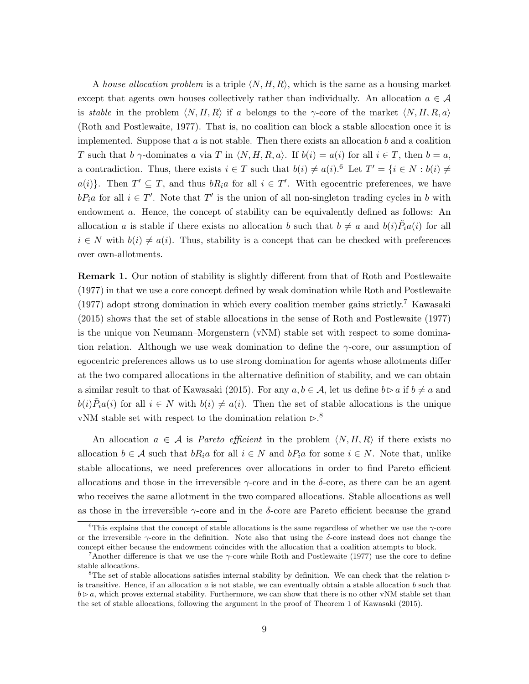A *house allocation problem* is a triple *⟨N, H, R⟩*, which is the same as a housing market except that agents own houses collectively rather than individually. An allocation  $a \in \mathcal{A}$ is *stable* in the problem  $\langle N, H, R \rangle$  if *a* belongs to the *γ*-core of the market  $\langle N, H, R, a \rangle$ (Roth and Postlewaite, 1977). That is, no coalition can block a stable allocation once it is implemented. Suppose that *a* is not stable. Then there exists an allocation *b* and a coalition *T* such that *b*  $\gamma$ -dominates *a* via *T* in  $\langle N, H, R, a \rangle$ . If  $b(i) = a(i)$  for all  $i \in T$ , then  $b = a$ , a contradiction. Thus, there exists  $i \in T$  such that  $b(i) \neq a(i)$ .<sup>6</sup> Let  $T' = \{i \in N : b(i) \neq j\}$  $a(i)$ }. Then  $T' \subseteq T$ , and thus  $bR_i a$  for all  $i \in T'$ . With egocentric preferences, we have  $bP_i a$  for all  $i \in T'$ . Note that  $T'$  is the union of all non-singleton trading cycles in *b* with endowment *a*. Hence, the concept of stability can be equivalently defined as follows: An allocation *a* is stable if there exists no allocation *b* such that  $b \neq a$  and  $b(i)\tilde{P}_i a(i)$  for all  $i \in N$  with  $b(i) \neq a(i)$ . Thus, stability is a concept that can be checked with preferences over own-allotments.

**Remark 1.** Our notion of stability is slightly different from that of Roth and Postlewaite (1977) in that we use a core concept defined by weak domination while Roth and Postlewaite (1977) adopt strong domination in which every coalition member gains strictly.<sup>7</sup> Kawasaki (2015) shows that the set of stable allocations in the sense of Roth and Postlewaite (1977) is the unique von Neumann–Morgenstern (vNM) stable set with respect to some domination relation. Although we use weak domination to define the *γ*-core, our assumption of egocentric preferences allows us to use strong domination for agents whose allotments differ at the two compared allocations in the alternative definition of stability, and we can obtain a similar result to that of Kawasaki (2015). For any  $a, b \in A$ , let us define  $b \triangleright a$  if  $b \neq a$  and  $b(i)\tilde{P}_i a(i)$  for all  $i \in N$  with  $b(i) \neq a(i)$ . Then the set of stable allocations is the unique vNM stable set with respect to the domination relation  $\rhd$ .<sup>8</sup>

An allocation  $a \in \mathcal{A}$  is *Pareto efficient* in the problem  $\langle N, H, R \rangle$  if there exists no allocation  $b \in \mathcal{A}$  such that  $bR_i a$  for all  $i \in N$  and  $bP_i a$  for some  $i \in N$ . Note that, unlike stable allocations, we need preferences over allocations in order to find Pareto efficient allocations and those in the irreversible *γ*-core and in the *δ*-core, as there can be an agent who receives the same allotment in the two compared allocations. Stable allocations as well as those in the irreversible *γ*-core and in the *δ*-core are Pareto efficient because the grand

<sup>6</sup>This explains that the concept of stable allocations is the same regardless of whether we use the *γ*-core or the irreversible *γ*-core in the definition. Note also that using the *δ*-core instead does not change the concept either because the endowment coincides with the allocation that a coalition attempts to block.

<sup>7</sup>Another difference is that we use the *γ*-core while Roth and Postlewaite (1977) use the core to define stable allocations.

<sup>&</sup>lt;sup>8</sup>The set of stable allocations satisfies internal stability by definition. We can check that the relation  $\triangleright$ is transitive. Hence, if an allocation *a* is not stable, we can eventually obtain a stable allocation *b* such that  $b \triangleright a$ , which proves external stability. Furthermore, we can show that there is no other vNM stable set than the set of stable allocations, following the argument in the proof of Theorem 1 of Kawasaki (2015).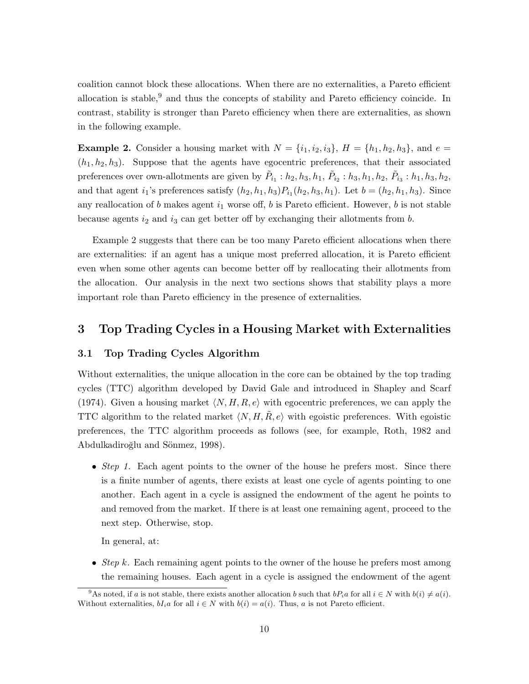coalition cannot block these allocations. When there are no externalities, a Pareto efficient allocation is stable,<sup>9</sup> and thus the concepts of stability and Pareto efficiency coincide. In contrast, stability is stronger than Pareto efficiency when there are externalities, as shown in the following example.

**Example 2.** Consider a housing market with  $N = \{i_1, i_2, i_3\}$ ,  $H = \{h_1, h_2, h_3\}$ , and  $e =$  $(h_1, h_2, h_3)$ . Suppose that the agents have egocentric preferences, that their associated preferences over own-allotments are given by  $\tilde{P}_{i_1} : h_2, h_3, h_1, \tilde{P}_{i_2} : h_3, h_1, h_2, \tilde{P}_{i_3} : h_1, h_3, h_2$ , and that agent *i*<sub>1</sub>'s preferences satisfy  $(h_2, h_1, h_3)P_{i_1}(h_2, h_3, h_1)$ . Let  $b = (h_2, h_1, h_3)$ . Since any reallocation of  $b$  makes agent  $i_1$  worse off,  $b$  is Pareto efficient. However,  $b$  is not stable because agents *i*<sup>2</sup> and *i*<sup>3</sup> can get better off by exchanging their allotments from *b*.

Example 2 suggests that there can be too many Pareto efficient allocations when there are externalities: if an agent has a unique most preferred allocation, it is Pareto efficient even when some other agents can become better off by reallocating their allotments from the allocation. Our analysis in the next two sections shows that stability plays a more important role than Pareto efficiency in the presence of externalities.

# **3 Top Trading Cycles in a Housing Market with Externalities**

### **3.1 Top Trading Cycles Algorithm**

Without externalities, the unique allocation in the core can be obtained by the top trading cycles (TTC) algorithm developed by David Gale and introduced in Shapley and Scarf (1974). Given a housing market  $\langle N, H, R, e \rangle$  with egocentric preferences, we can apply the TTC algorithm to the related market  $\langle N, H, \tilde{R}, e \rangle$  with egoistic preferences. With egoistic preferences, the TTC algorithm proceeds as follows (see, for example, Roth, 1982 and Abdulkadiroğlu and Sönmez, 1998).

• *Step 1.* Each agent points to the owner of the house he prefers most. Since there is a finite number of agents, there exists at least one cycle of agents pointing to one another. Each agent in a cycle is assigned the endowment of the agent he points to and removed from the market. If there is at least one remaining agent, proceed to the next step. Otherwise, stop.

In general, at:

• *Step k.* Each remaining agent points to the owner of the house he prefers most among the remaining houses. Each agent in a cycle is assigned the endowment of the agent

<sup>&</sup>lt;sup>9</sup>As noted, if *a* is not stable, there exists another allocation *b* such that  $bP_i a$  for all  $i \in N$  with  $b(i) \neq a(i)$ . Without externalities,  $bI_i a$  for all  $i \in N$  with  $b(i) = a(i)$ . Thus, *a* is not Pareto efficient.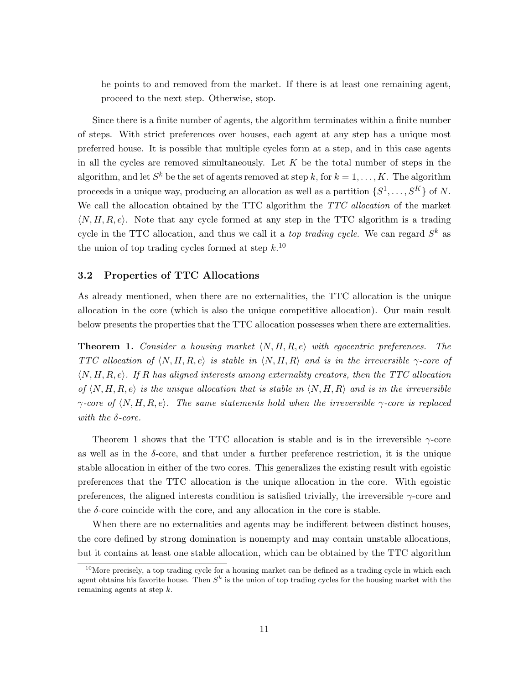he points to and removed from the market. If there is at least one remaining agent, proceed to the next step. Otherwise, stop.

Since there is a finite number of agents, the algorithm terminates within a finite number of steps. With strict preferences over houses, each agent at any step has a unique most preferred house. It is possible that multiple cycles form at a step, and in this case agents in all the cycles are removed simultaneously. Let *K* be the total number of steps in the algorithm, and let  $S^k$  be the set of agents removed at step k, for  $k = 1, \ldots, K$ . The algorithm proceeds in a unique way, producing an allocation as well as a partition  $\{S^1, \ldots, S^K\}$  of N. We call the allocation obtained by the TTC algorithm the *TTC allocation* of the market *⟨N, H, R, e⟩*. Note that any cycle formed at any step in the TTC algorithm is a trading cycle in the TTC allocation, and thus we call it a *top trading cycle*. We can regard *S <sup>k</sup>* as the union of top trading cycles formed at step *k*. 10

### **3.2 Properties of TTC Allocations**

As already mentioned, when there are no externalities, the TTC allocation is the unique allocation in the core (which is also the unique competitive allocation). Our main result below presents the properties that the TTC allocation possesses when there are externalities.

**Theorem 1.** *Consider a housing market*  $\langle N, H, R, e \rangle$  *with egocentric preferences. The TTC allocation of*  $\langle N, H, R, e \rangle$  *is stable in*  $\langle N, H, R \rangle$  *and is in the irreversible*  $\gamma$ -*core of ⟨N, H, R, e⟩. If R has aligned interests among externality creators, then the TTC allocation of*  $\langle N, H, R, e \rangle$  *is the unique allocation that is stable in*  $\langle N, H, R \rangle$  *and is in the irreversible γ-core of ⟨N, H, R, e⟩. The same statements hold when the irreversible γ-core is replaced with the δ-core.*

Theorem 1 shows that the TTC allocation is stable and is in the irreversible *γ*-core as well as in the  $\delta$ -core, and that under a further preference restriction, it is the unique stable allocation in either of the two cores. This generalizes the existing result with egoistic preferences that the TTC allocation is the unique allocation in the core. With egoistic preferences, the aligned interests condition is satisfied trivially, the irreversible *γ*-core and the  $\delta$ -core coincide with the core, and any allocation in the core is stable.

When there are no externalities and agents may be indifferent between distinct houses, the core defined by strong domination is nonempty and may contain unstable allocations, but it contains at least one stable allocation, which can be obtained by the TTC algorithm

 $10$ More precisely, a top trading cycle for a housing market can be defined as a trading cycle in which each agent obtains his favorite house. Then  $S^k$  is the union of top trading cycles for the housing market with the remaining agents at step *k*.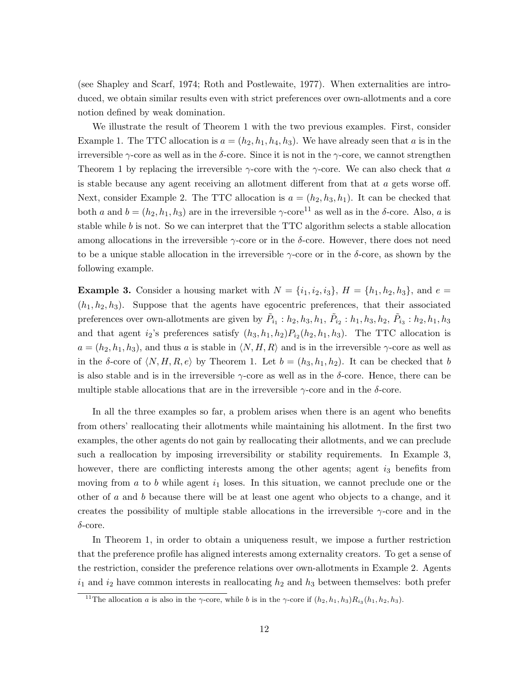(see Shapley and Scarf, 1974; Roth and Postlewaite, 1977). When externalities are introduced, we obtain similar results even with strict preferences over own-allotments and a core notion defined by weak domination.

We illustrate the result of Theorem 1 with the two previous examples. First, consider Example 1. The TTC allocation is  $a = (h_2, h_1, h_4, h_3)$ . We have already seen that *a* is in the irreversible *γ*-core as well as in the *δ*-core. Since it is not in the *γ*-core, we cannot strengthen Theorem 1 by replacing the irreversible *γ*-core with the *γ*-core. We can also check that *a* is stable because any agent receiving an allotment different from that at *a* gets worse off. Next, consider Example 2. The TTC allocation is  $a = (h_2, h_3, h_1)$ . It can be checked that both *a* and  $b = (h_2, h_1, h_3)$  are in the irreversible  $\gamma$ -core<sup>11</sup> as well as in the *δ*-core. Also, *a* is stable while *b* is not. So we can interpret that the TTC algorithm selects a stable allocation among allocations in the irreversible *γ*-core or in the *δ*-core. However, there does not need to be a unique stable allocation in the irreversible *γ*-core or in the *δ*-core, as shown by the following example.

**Example 3.** Consider a housing market with  $N = \{i_1, i_2, i_3\}$ ,  $H = \{h_1, h_2, h_3\}$ , and  $e =$  $(h_1, h_2, h_3)$ . Suppose that the agents have egocentric preferences, that their associated preferences over own-allotments are given by  $\tilde{P}_{i_1}$  :  $h_2, h_3, h_1, \tilde{P}_{i_2}$  :  $h_1, h_3, h_2, \tilde{P}_{i_3}$  :  $h_2, h_1, h_3$ and that agent  $i_2$ 's preferences satisfy  $(h_3, h_1, h_2)P_{i_2}(h_2, h_1, h_3)$ . The TTC allocation is  $a = (h_2, h_1, h_3)$ , and thus *a* is stable in  $\langle N, H, R \rangle$  and is in the irreversible *γ*-core as well as in the  $\delta$ -core of  $\langle N, H, R, e \rangle$  by Theorem 1. Let  $b = (h_3, h_1, h_2)$ . It can be checked that *b* is also stable and is in the irreversible *γ*-core as well as in the *δ*-core. Hence, there can be multiple stable allocations that are in the irreversible *γ*-core and in the *δ*-core.

In all the three examples so far, a problem arises when there is an agent who benefits from others' reallocating their allotments while maintaining his allotment. In the first two examples, the other agents do not gain by reallocating their allotments, and we can preclude such a reallocation by imposing irreversibility or stability requirements. In Example 3, however, there are conflicting interests among the other agents; agent  $i_3$  benefits from moving from  $a$  to  $b$  while agent  $i_1$  loses. In this situation, we cannot preclude one or the other of *a* and *b* because there will be at least one agent who objects to a change, and it creates the possibility of multiple stable allocations in the irreversible *γ*-core and in the *δ*-core.

In Theorem 1, in order to obtain a uniqueness result, we impose a further restriction that the preference profile has aligned interests among externality creators. To get a sense of the restriction, consider the preference relations over own-allotments in Example 2. Agents  $i_1$  and  $i_2$  have common interests in reallocating  $h_2$  and  $h_3$  between themselves: both prefer

<sup>&</sup>lt;sup>11</sup>The allocation *a* is also in the *γ*-core, while *b* is in the *γ*-core if  $(h_2, h_1, h_3)R_{i_3}(h_1, h_2, h_3)$ .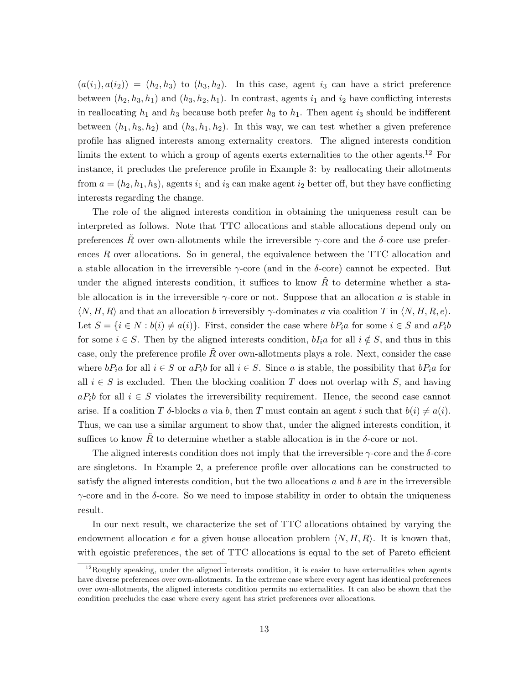$(a(i_1), a(i_2)) = (h_2, h_3)$  to  $(h_3, h_2)$ . In this case, agent  $i_3$  can have a strict preference between  $(h_2, h_3, h_1)$  and  $(h_3, h_2, h_1)$ . In contrast, agents  $i_1$  and  $i_2$  have conflicting interests in reallocating  $h_1$  and  $h_3$  because both prefer  $h_3$  to  $h_1$ . Then agent  $i_3$  should be indifferent between  $(h_1, h_3, h_2)$  and  $(h_3, h_1, h_2)$ . In this way, we can test whether a given preference profile has aligned interests among externality creators. The aligned interests condition limits the extent to which a group of agents exerts externalities to the other agents.<sup>12</sup> For instance, it precludes the preference profile in Example 3: by reallocating their allotments from  $a = (h_2, h_1, h_3)$ , agents  $i_1$  and  $i_3$  can make agent  $i_2$  better off, but they have conflicting interests regarding the change.

The role of the aligned interests condition in obtaining the uniqueness result can be interpreted as follows. Note that TTC allocations and stable allocations depend only on preferences  $\tilde{R}$  over own-allotments while the irreversible  $\gamma$ -core and the *δ*-core use preferences *R* over allocations. So in general, the equivalence between the TTC allocation and a stable allocation in the irreversible *γ*-core (and in the *δ*-core) cannot be expected. But under the aligned interests condition, it suffices to know  $R$  to determine whether a stable allocation is in the irreversible *γ*-core or not. Suppose that an allocation *a* is stable in *⟨N, H, R⟩* and that an allocation *b* irreversibly *γ*-dominates *a* via coalition *T* in *⟨N, H, R, e⟩*. Let  $S = \{i \in N : b(i) \neq a(i)\}\$ . First, consider the case where  $bP_ia$  for some  $i \in S$  and  $aP_ib$ for some  $i \in S$ . Then by the aligned interests condition,  $bI_i a$  for all  $i \notin S$ , and thus in this case, only the preference profile R over own-allotments plays a role. Next, consider the case where  $bP_i a$  for all  $i \in S$  or  $aP_i b$  for all  $i \in S$ . Since *a* is stable, the possibility that  $bP_i a$  for all  $i \in S$  is excluded. Then the blocking coalition *T* does not overlap with *S*, and having  $aP_i$ *b* for all  $i \in S$  violates the irreversibility requirement. Hence, the second case cannot arise. If a coalition *T*  $\delta$ -blocks *a* via *b*, then *T* must contain an agent *i* such that  $b(i) \neq a(i)$ . Thus, we can use a similar argument to show that, under the aligned interests condition, it suffices to know  $\tilde{R}$  to determine whether a stable allocation is in the  $\delta$ -core or not.

The aligned interests condition does not imply that the irreversible *γ*-core and the *δ*-core are singletons. In Example 2, a preference profile over allocations can be constructed to satisfy the aligned interests condition, but the two allocations *a* and *b* are in the irreversible *γ*-core and in the *δ*-core. So we need to impose stability in order to obtain the uniqueness result.

In our next result, we characterize the set of TTC allocations obtained by varying the endowment allocation  $e$  for a given house allocation problem  $\langle N, H, R \rangle$ . It is known that, with egoistic preferences, the set of TTC allocations is equal to the set of Pareto efficient

<sup>&</sup>lt;sup>12</sup>Roughly speaking, under the aligned interests condition, it is easier to have externalities when agents have diverse preferences over own-allotments. In the extreme case where every agent has identical preferences over own-allotments, the aligned interests condition permits no externalities. It can also be shown that the condition precludes the case where every agent has strict preferences over allocations.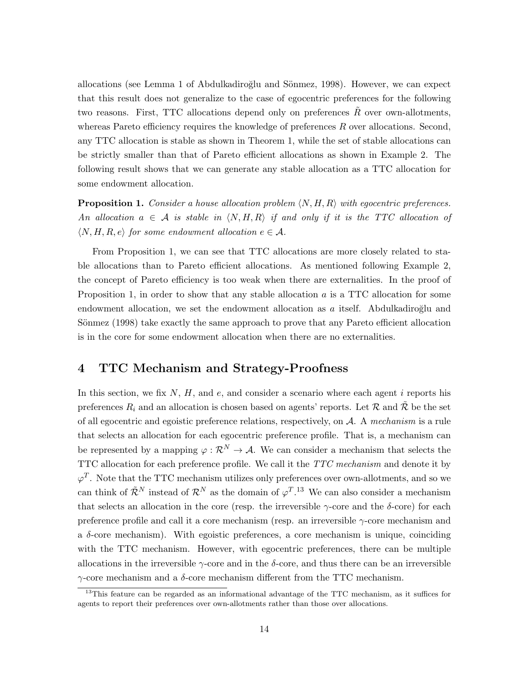allocations (see Lemma 1 of Abdulkadiroğlu and Sönmez, 1998). However, we can expect that this result does not generalize to the case of egocentric preferences for the following two reasons. First, TTC allocations depend only on preferences R over own-allotments, whereas Pareto efficiency requires the knowledge of preferences *R* over allocations. Second, any TTC allocation is stable as shown in Theorem 1, while the set of stable allocations can be strictly smaller than that of Pareto efficient allocations as shown in Example 2. The following result shows that we can generate any stable allocation as a TTC allocation for some endowment allocation.

**Proposition 1.** *Consider a house allocation problem ⟨N, H, R⟩ with egocentric preferences. An allocation*  $a \in \mathcal{A}$  *is stable in*  $\langle N, H, R \rangle$  *if and only if it is the TTC allocation of*  $\langle N, H, R, e \rangle$  *for some endowment allocation*  $e \in \mathcal{A}$ *.* 

From Proposition 1, we can see that TTC allocations are more closely related to stable allocations than to Pareto efficient allocations. As mentioned following Example 2, the concept of Pareto efficiency is too weak when there are externalities. In the proof of Proposition 1, in order to show that any stable allocation *a* is a TTC allocation for some endowment allocation, we set the endowment allocation as a itself. Abdulkadiroğlu and Sönmez (1998) take exactly the same approach to prove that any Pareto efficient allocation is in the core for some endowment allocation when there are no externalities.

# **4 TTC Mechanism and Strategy-Proofness**

In this section, we fix *N*, *H*, and *e*, and consider a scenario where each agent *i* reports his preferences  $R_i$  and an allocation is chosen based on agents' reports. Let  $R$  and  $\tilde{R}$  be the set of all egocentric and egoistic preference relations, respectively, on *A*. A *mechanism* is a rule that selects an allocation for each egocentric preference profile. That is, a mechanism can be represented by a mapping  $\varphi : \mathcal{R}^N \to \mathcal{A}$ . We can consider a mechanism that selects the TTC allocation for each preference profile. We call it the *TTC mechanism* and denote it by  $\varphi^T$ . Note that the TTC mechanism utilizes only preferences over own-allotments, and so we can think of  $\tilde{\mathcal{R}}^N$  instead of  $\mathcal{R}^N$  as the domain of  $\varphi^T$ .<sup>13</sup> We can also consider a mechanism that selects an allocation in the core (resp. the irreversible *γ*-core and the *δ*-core) for each preference profile and call it a core mechanism (resp. an irreversible *γ*-core mechanism and a  $\delta$ -core mechanism). With egoistic preferences, a core mechanism is unique, coinciding with the TTC mechanism. However, with egocentric preferences, there can be multiple allocations in the irreversible *γ*-core and in the *δ*-core, and thus there can be an irreversible *γ*-core mechanism and a *δ*-core mechanism different from the TTC mechanism.

<sup>&</sup>lt;sup>13</sup>This feature can be regarded as an informational advantage of the TTC mechanism, as it suffices for agents to report their preferences over own-allotments rather than those over allocations.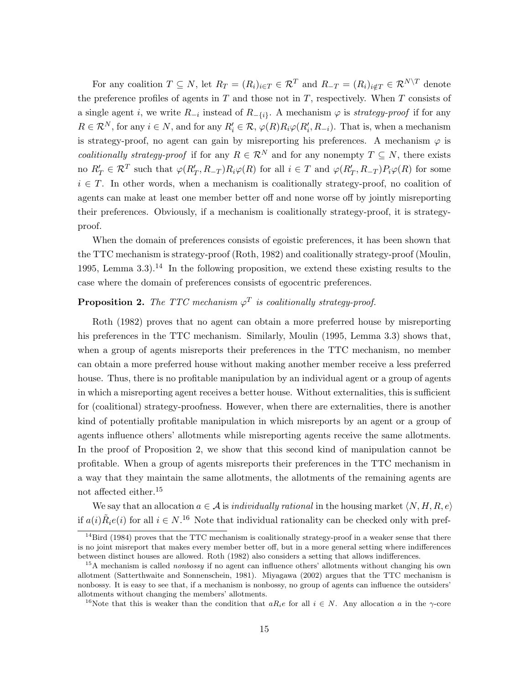For any coalition  $T \subseteq N$ , let  $R_T = (R_i)_{i \in T} \in \mathcal{R}^T$  and  $R_{-T} = (R_i)_{i \notin T} \in \mathcal{R}^{N \setminus T}$  denote the preference profiles of agents in *T* and those not in *T*, respectively. When *T* consists of a single agent *i*, we write  $R_{-i}$  instead of  $R_{-\{i\}}$ . A mechanism  $\varphi$  is *strategy-proof* if for any  $R \in \mathcal{R}^N$ , for any  $i \in N$ , and for any  $R'_i \in \mathcal{R}$ ,  $\varphi(R)R_i\varphi(R'_i,R_{-i})$ . That is, when a mechanism is strategy-proof, no agent can gain by misreporting his preferences. A mechanism  $\varphi$  is *coalitionally strategy-proof* if for any  $R \in \mathbb{R}^N$  and for any nonempty  $T \subseteq N$ , there exists no  $R'_T \in \mathcal{R}^T$  such that  $\varphi(R'_T, R_{-T})R_i\varphi(R)$  for all  $i \in T$  and  $\varphi(R'_T, R_{-T})P_i\varphi(R)$  for some *i* ∈ *T*. In other words, when a mechanism is coalitionally strategy-proof, no coalition of agents can make at least one member better off and none worse off by jointly misreporting their preferences. Obviously, if a mechanism is coalitionally strategy-proof, it is strategyproof.

When the domain of preferences consists of egoistic preferences, it has been shown that the TTC mechanism is strategy-proof (Roth, 1982) and coalitionally strategy-proof (Moulin, 1995, Lemma 3.3).<sup>14</sup> In the following proposition, we extend these existing results to the case where the domain of preferences consists of egocentric preferences.

### **Proposition 2.** *The TTC mechanism*  $\varphi^T$  *is coalitionally strategy-proof.*

Roth (1982) proves that no agent can obtain a more preferred house by misreporting his preferences in the TTC mechanism. Similarly, Moulin (1995, Lemma 3.3) shows that, when a group of agents misreports their preferences in the TTC mechanism, no member can obtain a more preferred house without making another member receive a less preferred house. Thus, there is no profitable manipulation by an individual agent or a group of agents in which a misreporting agent receives a better house. Without externalities, this is sufficient for (coalitional) strategy-proofness. However, when there are externalities, there is another kind of potentially profitable manipulation in which misreports by an agent or a group of agents influence others' allotments while misreporting agents receive the same allotments. In the proof of Proposition 2, we show that this second kind of manipulation cannot be profitable. When a group of agents misreports their preferences in the TTC mechanism in a way that they maintain the same allotments, the allotments of the remaining agents are not affected either.<sup>15</sup>

We say that an allocation  $a \in \mathcal{A}$  is *individually rational* in the housing market  $\langle N, H, R, e \rangle$ if  $a(i)\tilde{R}_i e(i)$  for all  $i \in N$ .<sup>16</sup> Note that individual rationality can be checked only with pref-

 $14$ Bird (1984) proves that the TTC mechanism is coalitionally strategy-proof in a weaker sense that there is no joint misreport that makes every member better off, but in a more general setting where indifferences between distinct houses are allowed. Roth (1982) also considers a setting that allows indifferences.

<sup>15</sup>A mechanism is called *nonbossy* if no agent can influence others' allotments without changing his own allotment (Satterthwaite and Sonnenschein, 1981). Miyagawa (2002) argues that the TTC mechanism is nonbossy. It is easy to see that, if a mechanism is nonbossy, no group of agents can influence the outsiders' allotments without changing the members' allotments.

<sup>&</sup>lt;sup>16</sup>Note that this is weaker than the condition that  $aR_i$ *e* for all  $i \in N$ . Any allocation *a* in the *γ*-core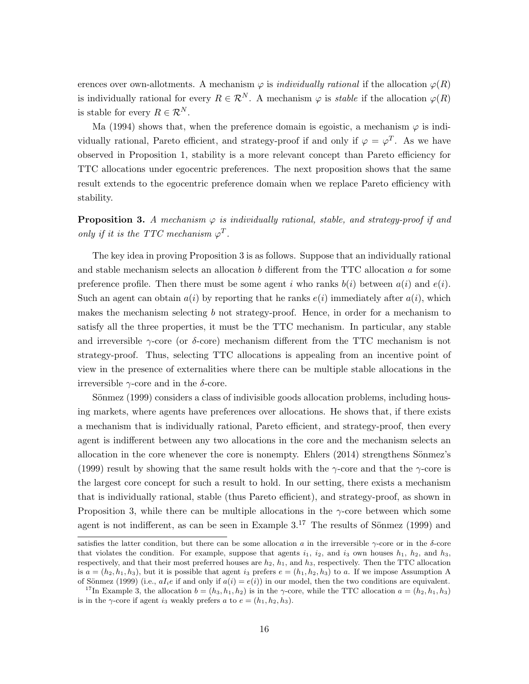erences over own-allotments. A mechanism  $\varphi$  is *individually rational* if the allocation  $\varphi(R)$ is individually rational for every  $R \in \mathcal{R}^N$ . A mechanism  $\varphi$  is *stable* if the allocation  $\varphi(R)$ is stable for every  $R \in \mathcal{R}^N$ .

Ma (1994) shows that, when the preference domain is egoistic, a mechanism  $\varphi$  is individually rational, Pareto efficient, and strategy-proof if and only if  $\varphi = \varphi^T$ . As we have observed in Proposition 1, stability is a more relevant concept than Pareto efficiency for TTC allocations under egocentric preferences. The next proposition shows that the same result extends to the egocentric preference domain when we replace Pareto efficiency with stability.

**Proposition 3.** *A mechanism*  $\varphi$  *is individually rational, stable, and strategy-proof if and only if it is the TTC mechanism*  $\varphi^T$ .

The key idea in proving Proposition 3 is as follows. Suppose that an individually rational and stable mechanism selects an allocation *b* different from the TTC allocation *a* for some preference profile. Then there must be some agent *i* who ranks  $b(i)$  between  $a(i)$  and  $e(i)$ . Such an agent can obtain  $a(i)$  by reporting that he ranks  $e(i)$  immediately after  $a(i)$ , which makes the mechanism selecting *b* not strategy-proof. Hence, in order for a mechanism to satisfy all the three properties, it must be the TTC mechanism. In particular, any stable and irreversible *γ*-core (or *δ*-core) mechanism different from the TTC mechanism is not strategy-proof. Thus, selecting TTC allocations is appealing from an incentive point of view in the presence of externalities where there can be multiple stable allocations in the irreversible *γ*-core and in the *δ*-core.

Sönmez (1999) considers a class of indivisible goods allocation problems, including housing markets, where agents have preferences over allocations. He shows that, if there exists a mechanism that is individually rational, Pareto efficient, and strategy-proof, then every agent is indifferent between any two allocations in the core and the mechanism selects an allocation in the core whenever the core is nonempty. Ehlers  $(2014)$  strengthens Sönmez's (1999) result by showing that the same result holds with the *γ*-core and that the *γ*-core is the largest core concept for such a result to hold. In our setting, there exists a mechanism that is individually rational, stable (thus Pareto efficient), and strategy-proof, as shown in Proposition 3, while there can be multiple allocations in the *γ*-core between which some agent is not indifferent, as can be seen in Example  $3.^{17}$ . The results of Sönmez (1999) and

satisfies the latter condition, but there can be some allocation *a* in the irreversible  $\gamma$ -core or in the *δ*-core that violates the condition. For example, suppose that agents  $i_1$ ,  $i_2$ , and  $i_3$  own houses  $h_1$ ,  $h_2$ , and  $h_3$ , respectively, and that their most preferred houses are  $h_2$ ,  $h_1$ , and  $h_3$ , respectively. Then the TTC allocation is  $a = (h_2, h_1, h_3)$ , but it is possible that agent *i*<sub>3</sub> prefers  $e = (h_1, h_2, h_3)$  to *a*. If we impose Assumption A of Sönmez (1999) (i.e.,  $aI_i e$  if and only if  $a(i) = e(i)$ ) in our model, then the two conditions are equivalent.

<sup>&</sup>lt;sup>17</sup>In Example 3, the allocation  $b = (h_3, h_1, h_2)$  is in the *γ*-core, while the TTC allocation  $a = (h_2, h_1, h_3)$ is in the *γ*-core if agent *i*<sub>3</sub> weakly prefers *a* to  $e = (h_1, h_2, h_3)$ .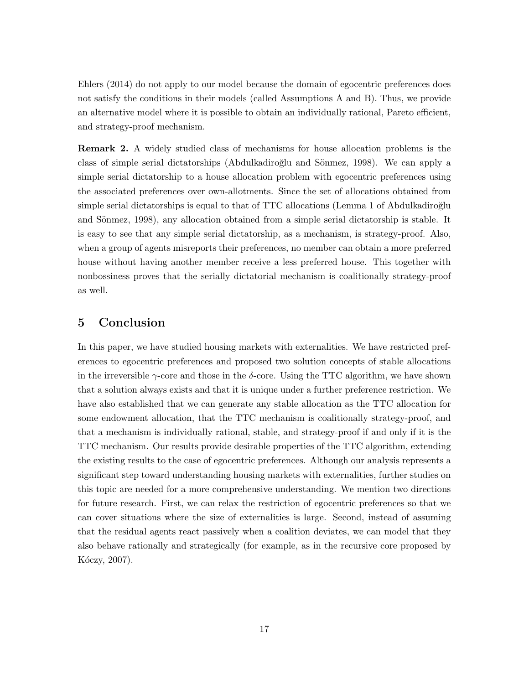Ehlers (2014) do not apply to our model because the domain of egocentric preferences does not satisfy the conditions in their models (called Assumptions A and B). Thus, we provide an alternative model where it is possible to obtain an individually rational, Pareto efficient, and strategy-proof mechanism.

**Remark 2.** A widely studied class of mechanisms for house allocation problems is the class of simple serial dictatorships (Abdulkadiroğlu and Sönmez, 1998). We can apply a simple serial dictatorship to a house allocation problem with egocentric preferences using the associated preferences over own-allotments. Since the set of allocations obtained from simple serial dictatorships is equal to that of TTC allocations (Lemma 1 of Abdulkadiroğlu and Sönmez, 1998), any allocation obtained from a simple serial dictatorship is stable. It is easy to see that any simple serial dictatorship, as a mechanism, is strategy-proof. Also, when a group of agents misreports their preferences, no member can obtain a more preferred house without having another member receive a less preferred house. This together with nonbossiness proves that the serially dictatorial mechanism is coalitionally strategy-proof as well.

# **5 Conclusion**

In this paper, we have studied housing markets with externalities. We have restricted preferences to egocentric preferences and proposed two solution concepts of stable allocations in the irreversible  $\gamma$ -core and those in the *δ*-core. Using the TTC algorithm, we have shown that a solution always exists and that it is unique under a further preference restriction. We have also established that we can generate any stable allocation as the TTC allocation for some endowment allocation, that the TTC mechanism is coalitionally strategy-proof, and that a mechanism is individually rational, stable, and strategy-proof if and only if it is the TTC mechanism. Our results provide desirable properties of the TTC algorithm, extending the existing results to the case of egocentric preferences. Although our analysis represents a significant step toward understanding housing markets with externalities, further studies on this topic are needed for a more comprehensive understanding. We mention two directions for future research. First, we can relax the restriction of egocentric preferences so that we can cover situations where the size of externalities is large. Second, instead of assuming that the residual agents react passively when a coalition deviates, we can model that they also behave rationally and strategically (for example, as in the recursive core proposed by Kóczy, 2007).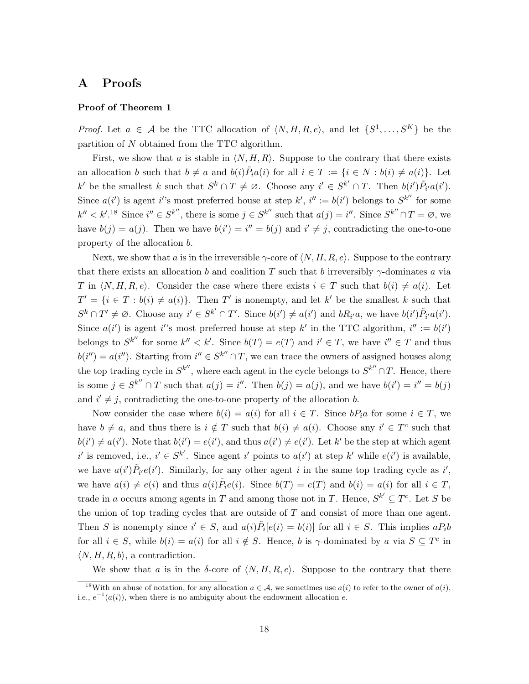# **A Proofs**

### **Proof of Theorem 1**

*Proof.* Let  $a \in \mathcal{A}$  be the TTC allocation of  $\langle N, H, R, e \rangle$ , and let  $\{S^1, \ldots, S^K\}$  be the partition of *N* obtained from the TTC algorithm.

First, we show that *a* is stable in  $\langle N, H, R \rangle$ . Suppose to the contrary that there exists an allocation b such that  $b \neq a$  and  $b(i)\tilde{P}_i a(i)$  for all  $i \in T := \{i \in N : b(i) \neq a(i)\}\$ . Let k' be the smallest k such that  $S^k \cap T \neq \emptyset$ . Choose any  $i' \in S^{k'} \cap T$ . Then  $b(i')\tilde{P}_{i'}a(i')$ . Since  $a(i')$  is agent *i*''s most preferred house at step  $k'$ ,  $i'' := b(i')$  belongs to  $S^{k''}$  for some  $k'' < k'.^{18}$  Since  $i'' \in S^{k''}$ , there is some  $j \in S^{k''}$  such that  $a(j) = i''$ . Since  $S^{k''} \cap T = \emptyset$ , we have  $b(j) = a(j)$ . Then we have  $b(i') = i'' = b(j)$  and  $i' \neq j$ , contradicting the one-to-one property of the allocation *b*.

Next, we show that *a* is in the irreversible  $\gamma$ -core of  $\langle N, H, R, e \rangle$ . Suppose to the contrary that there exists an allocation *b* and coalition *T* such that *b* irreversibly *γ*-dominates *a* via *T* in  $\langle N, H, R, e \rangle$ . Consider the case where there exists  $i \in T$  such that  $b(i) \neq a(i)$ . Let  $T' = \{i \in T : b(i) \neq a(i)\}.$  Then *T*' is nonempty, and let *k*' be the smallest *k* such that  $S^k \cap T' \neq \emptyset$ . Choose any  $i' \in S^{k'} \cap T'$ . Since  $b(i') \neq a(i')$  and  $bR_{i'}a$ , we have  $b(i')\tilde{P}_{i'}a(i')$ . Since  $a(i')$  is agent *i*''s most preferred house at step *k'* in the TTC algorithm,  $i'' := b(i')$ belongs to  $S^{k''}$  for some  $k'' < k'$ . Since  $b(T) = e(T)$  and  $i' \in T$ , we have  $i'' \in T$  and thus  $b(i'') = a(i'')$ . Starting from  $i'' \in S^{k''} \cap T$ , we can trace the owners of assigned houses along the top trading cycle in  $S^{k''}$ , where each agent in the cycle belongs to  $S^{k''} \cap T$ . Hence, there is some  $j \in S^{k''} \cap T$  such that  $a(j) = i''$ . Then  $b(j) = a(j)$ , and we have  $b(i') = i'' = b(j)$ and  $i' \neq j$ , contradicting the one-to-one property of the allocation *b*.

Now consider the case where  $b(i) = a(i)$  for all  $i \in T$ . Since  $bP_i a$  for some  $i \in T$ , we have  $b \neq a$ , and thus there is  $i \notin T$  such that  $b(i) \neq a(i)$ . Choose any  $i' \in T^c$  such that  $b(i') \neq a(i')$ . Note that  $b(i') = e(i')$ , and thus  $a(i') \neq e(i')$ . Let k' be the step at which agent i' is removed, i.e.,  $i' \in S^{k'}$ . Since agent i' points to  $a(i')$  at step k' while  $e(i')$  is available, we have  $a(i')\tilde{P}_{i'}e(i')$ . Similarly, for any other agent *i* in the same top trading cycle as *i*', we have  $a(i) \neq e(i)$  and thus  $a(i)\tilde{P}_i e(i)$ . Since  $b(T) = e(T)$  and  $b(i) = a(i)$  for all  $i \in T$ , trade in *a* occurs among agents in *T* and among those not in *T*. Hence,  $S^{k'} \subseteq T^c$ . Let *S* be the union of top trading cycles that are outside of *T* and consist of more than one agent. Then S is nonempty since  $i' \in S$ , and  $a(i)\tilde{P}_i[e(i) = b(i)]$  for all  $i \in S$ . This implies  $aP_ib$ for all  $i \in S$ , while  $b(i) = a(i)$  for all  $i \notin S$ . Hence, *b* is  $\gamma$ -dominated by *a* via  $S \subseteq T^c$  in  $\langle N, H, R, b \rangle$ , a contradiction.

We show that *a* is in the *δ*-core of  $\langle N, H, R, e \rangle$ . Suppose to the contrary that there

<sup>&</sup>lt;sup>18</sup>With an abuse of notation, for any allocation  $a \in \mathcal{A}$ , we sometimes use  $a(i)$  to refer to the owner of  $a(i)$ , i.e.,  $e^{-1}(a(i))$ , when there is no ambiguity about the endowment allocation *e*.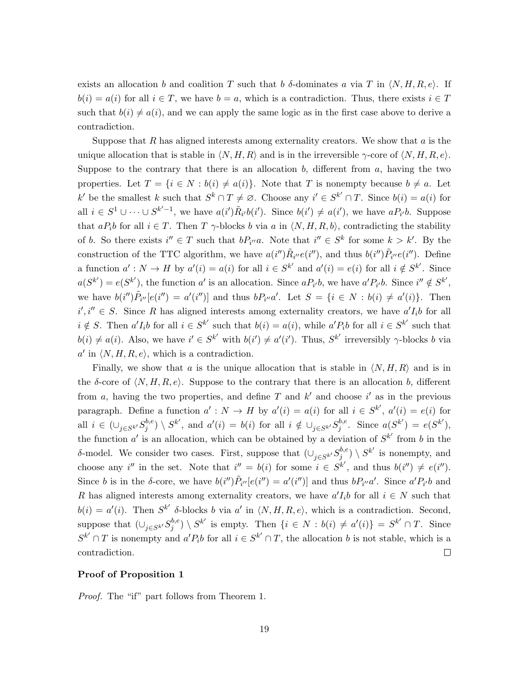exists an allocation *b* and coalition *T* such that *b*  $\delta$ -dominates *a* via *T* in  $\langle N, H, R, e \rangle$ . If  $b(i) = a(i)$  for all  $i \in T$ , we have  $b = a$ , which is a contradiction. Thus, there exists  $i \in T$ such that  $b(i) \neq a(i)$ , and we can apply the same logic as in the first case above to derive a contradiction.

Suppose that *R* has aligned interests among externality creators. We show that *a* is the unique allocation that is stable in  $\langle N, H, R \rangle$  and is in the irreversible  $\gamma$ -core of  $\langle N, H, R, e \rangle$ . Suppose to the contrary that there is an allocation *b*, different from *a*, having the two properties. Let  $T = \{i \in N : b(i) \neq a(i)\}\$ . Note that *T* is nonempty because  $b \neq a$ . Let k' be the smallest k such that  $S^k \cap T \neq \emptyset$ . Choose any  $i' \in S^{k'} \cap T$ . Since  $b(i) = a(i)$  for all  $i \in S^1 \cup \cdots \cup S^{k'-1}$ , we have  $a(i')\tilde{R}_{i'}b(i')$ . Since  $b(i') \neq a(i')$ , we have  $aP_{i'}b$ . Suppose that  $aP_i$ *b* for all  $i \in T$ . Then  $T$   $\gamma$ -blocks *b* via  $a$  in  $\langle N, H, R, b \rangle$ , contradicting the stability of *b*. So there exists  $i'' \in T$  such that  $bP_{i''}a$ . Note that  $i'' \in S^k$  for some  $k > k'$ . By the construction of the TTC algorithm, we have  $a(i'')\tilde{R}_{i''}e(i'')$ , and thus  $b(i'')\tilde{P}_{i''}e(i'')$ . Define a function  $a': N \to H$  by  $a'(i) = a(i)$  for all  $i \in S^{k'}$  and  $a'(i) = e(i)$  for all  $i \notin S^{k'}$ . Since  $a(S^{k'}) = e(S^{k'}),$  the function a' is an allocation. Since  $aP_{i'}b$ , we have  $a'P_{i'}b$ . Since  $i'' \notin S^{k'}$ , we have  $b(i'')\tilde{P}_{i''}[e(i'')]=a'(i'')$  and thus  $bP_{i''}a'$ . Let  $S=\{i\in N:b(i)\neq a'(i)\}$ . Then  $i', i'' \in S$ . Since *R* has aligned interests among externality creators, we have  $a'I_i b$  for all  $i \notin S$ . Then  $a'I_i b$  for all  $i \in S^{k'}$  such that  $b(i) = a(i)$ , while  $a' P_i b$  for all  $i \in S^{k'}$  such that  $b(i) \neq a(i)$ . Also, we have  $i' \in S^{k'}$  with  $b(i') \neq a'(i')$ . Thus,  $S^{k'}$  irreversibly  $\gamma$ -blocks b via  $a'$  in  $\langle N, H, R, e \rangle$ , which is a contradiction.

Finally, we show that *a* is the unique allocation that is stable in  $\langle N, H, R \rangle$  and is in the  $\delta$ -core of  $\langle N, H, R, e \rangle$ . Suppose to the contrary that there is an allocation *b*, different from *a*, having the two properties, and define  $T$  and  $k'$  and choose  $i'$  as in the previous paragraph. Define a function  $a': N \to H$  by  $a'(i) = a(i)$  for all  $i \in S^{k'}$ ,  $a'(i) = e(i)$  for all  $i \in (\bigcup_{j \in S^{k'}} S_j^{b,e})$  $\int_{j}^{b,e}$   $\rangle \setminus S^{k'}$ , and  $a'(i) = b(i)$  for all  $i \notin \bigcup_{j \in S^{k'}} S_j^{b,e}$  $j^{b,e}$ . Since  $a(S^{k'}) = e(S^{k'}),$ the function  $a'$  is an allocation, which can be obtained by a deviation of  $S^{k'}$  from *b* in the *δ*-model. We consider two cases. First, suppose that  $(\cup_{j \in S^{k'}} S_j^{b,e}$  $j^{b,e}$ )  $\setminus S^{k'}$  is nonempty, and choose any i'' in the set. Note that  $i'' = b(i)$  for some  $i \in S^{k'}$ , and thus  $b(i'') \neq e(i'')$ . Since b is in the  $\delta$ -core, we have  $b(i'')\tilde{P}_{i''}[e(i'')]=a'(i'')$  and thus  $bP_{i''}a'$ . Since  $a'P_{i'}b$  and *R* has aligned interests among externality creators, we have  $a'I<sub>i</sub>b$  for all  $i \in N$  such that  $b(i) = a'(i)$ . Then  $S^{k'}$  *δ*-blocks *b* via *a*<sup>'</sup> in  $\langle N, H, R, e \rangle$ , which is a contradiction. Second, suppose that  $(\cup_{j \in S^{k'}} S_j^{b,e})$  $j^{b,e}$   $\setminus S^{k'}$  is empty. Then  $\{i \in N : b(i) \neq a'(i)\} = S^{k'} \cap T$ . Since  $S^{k'} \cap T$  is nonempty and  $a'P_i b$  for all  $i \in S^{k'} \cap T$ , the allocation *b* is not stable, which is a contradiction.  $\Box$ 

### **Proof of Proposition 1**

*Proof.* The "if" part follows from Theorem 1.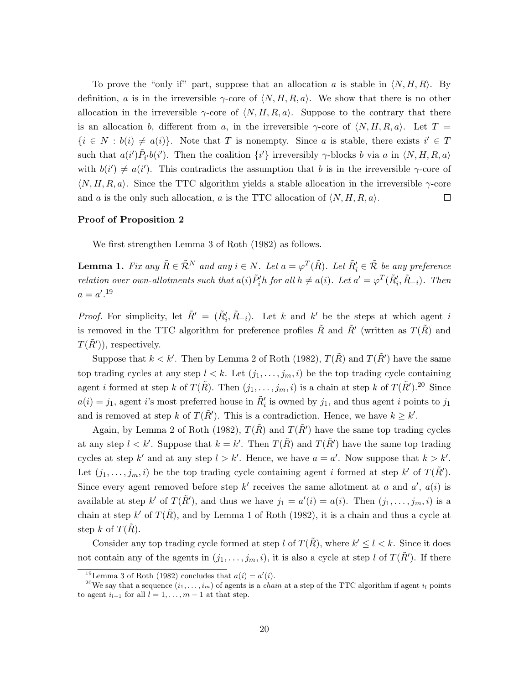To prove the "only if" part, suppose that an allocation *a* is stable in  $\langle N, H, R \rangle$ . By definition, *a* is in the irreversible  $\gamma$ -core of  $\langle N, H, R, a \rangle$ . We show that there is no other allocation in the irreversible  $\gamma$ -core of  $\langle N, H, R, a \rangle$ . Suppose to the contrary that there is an allocation *b*, different from *a*, in the irreversible  $\gamma$ -core of  $\langle N, H, R, a \rangle$ . Let  $T =$  $\{i \in N : b(i) \neq a(i)\}.$  Note that *T* is nonempty. Since *a* is stable, there exists  $i' \in T$ such that  $a(i')\tilde{P}_{i'}b(i')$ . Then the coalition  $\{i'\}$  irreversibly  $\gamma$ -blocks b via a in  $\langle N, H, R, a \rangle$ with  $b(i') \neq a(i')$ . This contradicts the assumption that *b* is in the irreversible *γ*-core of *⟨N, H, R, a⟩*. Since the TTC algorithm yields a stable allocation in the irreversible *γ*-core and *a* is the only such allocation, *a* is the TTC allocation of  $\langle N, H, R, a \rangle$ .  $\Box$ 

### **Proof of Proposition 2**

We first strengthen Lemma 3 of Roth (1982) as follows.

**Lemma 1.** Fix any  $\tilde{R} \in \tilde{\mathcal{R}}^N$  and any  $i \in N$ . Let  $a = \varphi^T(\tilde{R})$ . Let  $\tilde{R}'_i \in \tilde{\mathcal{R}}$  be any preference relation over own-allotments such that  $a(i)\tilde{P}'_i$ h for all  $h \neq a(i)$ . Let  $a' = \varphi^T(\tilde{R}'_i, \tilde{R}_{-i})$ . Then  $a = a'.^{19}$ 

*Proof.* For simplicity, let  $\tilde{R}' = (\tilde{R}'_i, \tilde{R}_{-i})$ . Let *k* and *k*<sup>*'*</sup> be the steps at which agent *i* is removed in the TTC algorithm for preference profiles  $\tilde{R}$  and  $\tilde{R}'$  (written as  $T(\tilde{R})$  and  $T(\tilde{R}$ <sup>*'*</sup> $)$ , respectively.

Suppose that  $k < k'$ . Then by Lemma 2 of Roth (1982),  $T(\tilde{R})$  and  $T(\tilde{R}')$  have the same top trading cycles at any step  $l < k$ . Let  $(j_1, \ldots, j_m, i)$  be the top trading cycle containing agent *i* formed at step *k* of  $T(\tilde{R})$ . Then  $(j_1, \ldots, j_m, i)$  is a chain at step *k* of  $T(\tilde{R}')$ .<sup>20</sup> Since  $a(i) = j_1$ , agent *i*'s most preferred house in  $R'$ <sup>*i*</sup></sup> is owned by  $j_1$ , and thus agent *i* points to  $j_1$ and is removed at step *k* of  $T(\tilde{R}')$ . This is a contradiction. Hence, we have  $k \geq k'$ .

Again, by Lemma 2 of Roth (1982),  $T(\tilde{R})$  and  $T(\tilde{R}')$  have the same top trading cycles at any step  $l < k'$ . Suppose that  $k = k'$ . Then  $T(\tilde{R})$  and  $T(\tilde{R}')$  have the same top trading cycles at step  $k'$  and at any step  $l > k'$ . Hence, we have  $a = a'$ . Now suppose that  $k > k'$ . Let  $(j_1, \ldots, j_m, i)$  be the top trading cycle containing agent *i* formed at step *k'* of  $T(\tilde{R}')$ . Since every agent removed before step  $k'$  receives the same allotment at *a* and  $a'$ ,  $a(i)$  is available at step  $k'$  of  $T(\tilde{R}')$ , and thus we have  $j_1 = a'(i) = a(i)$ . Then  $(j_1, \ldots, j_m, i)$  is a chain at step  $k'$  of  $T(\tilde{R})$ , and by Lemma 1 of Roth (1982), it is a chain and thus a cycle at step  $k$  of  $T(R)$ .

Consider any top trading cycle formed at step *l* of  $T(\tilde{R})$ , where  $k' \leq l \leq k$ . Since it does not contain any of the agents in  $(j_1, \ldots, j_m, i)$ , it is also a cycle at step *l* of  $T(\tilde{R}')$ . If there

<sup>&</sup>lt;sup>19</sup> Lemma 3 of Roth (1982) concludes that  $a(i) = a'(i)$ .

<sup>&</sup>lt;sup>20</sup>We say that a sequence  $(i_1, \ldots, i_m)$  of agents is a *chain* at a step of the TTC algorithm if agent  $i_l$  points to agent  $i_{l+1}$  for all  $l = 1, \ldots, m-1$  at that step.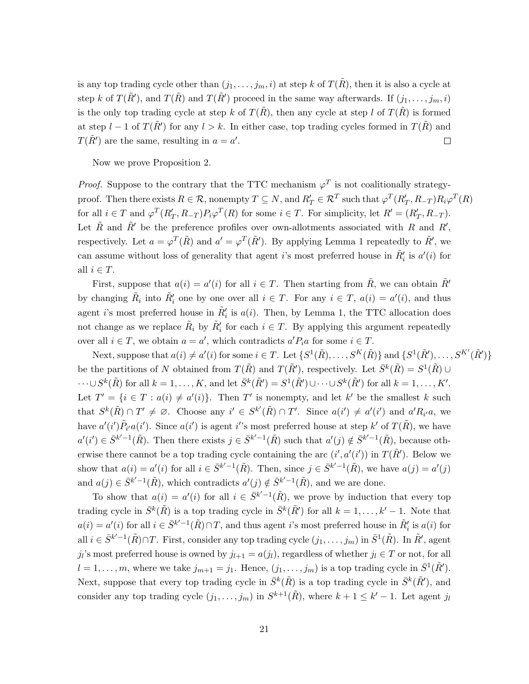is any top trading cycle other than  $(j_1, \ldots, j_m, i)$  at step k of  $T(\tilde{R})$ , then it is also a cycle at step *k* of  $T(\tilde{R}')$ , and  $T(\tilde{R}')$  and  $T(\tilde{R}')$  proceed in the same way afterwards. If  $(j_1, \ldots, j_m, i)$ is the only top trading cycle at step *k* of  $T(\tilde{R})$ , then any cycle at step *l* of  $T(\tilde{R})$  is formed at step  $l - 1$  of  $T(\tilde{R}')$  for any  $l > k$ . In either case, top trading cycles formed in  $T(\tilde{R})$  and *T*( $\tilde{R}'$ ) are the same, resulting in  $a = a'$ .  $\Box$ 

Now we prove Proposition 2.

*Proof.* Suppose to the contrary that the TTC mechanism  $\varphi^T$  is not coalitionally strategyproof. Then there exists  $R \in \mathcal{R}$ , nonempty  $T \subseteq N$ , and  $R'_T \in \mathcal{R}^T$  such that  $\varphi^T(R'_T, R_{-T}) R_i \varphi^T(R)$ for all  $i \in T$  and  $\varphi^T(R'_T, R_{-T}) P_i \varphi^T(R)$  for some  $i \in T$ . For simplicity, let  $R' = (R'_T, R_{-T})$ . Let  $\tilde{R}$  and  $\tilde{R}'$  be the preference profiles over own-allotments associated with  $R$  and  $R'$ , respectively. Let  $a = \varphi^T(\tilde{R})$  and  $a' = \varphi^T(\tilde{R}')$ . By applying Lemma 1 repeatedly to  $\tilde{R}'$ , we can assume without loss of generality that agent *i*'s most preferred house in  $\tilde{R}'_i$  is  $a'(i)$  for all  $i \in T$ .

First, suppose that  $a(i) = a'(i)$  for all  $i \in T$ . Then starting from  $\tilde{R}$ , we can obtain  $\tilde{R}'$ by changing  $\tilde{R}_i$  into  $\tilde{R}'_i$  one by one over all  $i \in T$ . For any  $i \in T$ ,  $a(i) = a'(i)$ , and thus agent *i*'s most preferred house in  $\tilde{R}'_i$  is  $a(i)$ . Then, by Lemma 1, the TTC allocation does not change as we replace  $\tilde{R}_i$  by  $\tilde{R}'_i$  for each  $i \in T$ . By applying this argument repeatedly over all  $i \in T$ , we obtain  $a = a'$ , which contradicts  $a'P_i a$  for some  $i \in T$ .

Next, suppose that  $a(i) \neq a'(i)$  for some  $i \in T$ . Let  $\{S^1(\tilde{R}), \ldots, S^K(\tilde{R})\}$  and  $\{S^1(\tilde{R}'), \ldots, S^{K'}(\tilde{R}')\}$ be the partitions of *N* obtained from  $T(\tilde{R})$  and  $T(\tilde{R}')$ , respectively. Let  $\bar{S}^k(\tilde{R}) = S^1(\tilde{R}) \cup \{S^k(\tilde{R})\}$  $\cdots \cup S^k(\tilde{R})$  for all  $k = 1, \ldots, K$ , and let  $\bar{S}^k(\tilde{R}') = S^1(\tilde{R}') \cup \cdots \cup S^k(\tilde{R}')$  for all  $k = 1, \ldots, K'$ . Let  $T' = \{i \in T : a(i) \neq a'(i)\}.$  Then  $T'$  is nonempty, and let  $k'$  be the smallest  $k$  such that  $S^k(\tilde{R}) \cap T' \neq \emptyset$ . Choose any  $i' \in S^{k'}(\tilde{R}) \cap T'$ . Since  $a(i') \neq a'(i')$  and  $a'R_{i'}a$ , we have  $a'(i')\tilde{P}_{i'}a(i')$ . Since  $a(i')$  is agent i''s most preferred house at step k' of  $T(\tilde{R})$ , we have  $a'(i') \in \bar{S}^{k'-1}(\tilde{R})$ . Then there exists  $j \in \bar{S}^{k'-1}(\tilde{R})$  such that  $a'(j) \notin \bar{S}^{k'-1}(\tilde{R})$ , because otherwise there cannot be a top trading cycle containing the arc  $(i', a'(i'))$  in  $T(\tilde{R}')$ . Below we show that  $a(i) = a'(i)$  for all  $i \in \bar{S}^{k'-1}(\tilde{R})$ . Then, since  $j \in \bar{S}^{k'-1}(\tilde{R})$ , we have  $a(j) = a'(j)$ and  $a(j) \in \bar{S}^{k'-1}(\tilde{R})$ , which contradicts  $a'(j) \notin \bar{S}^{k'-1}(\tilde{R})$ , and we are done.

To show that  $a(i) = a'(i)$  for all  $i \in \bar{S}^{k'-1}(\tilde{R})$ , we prove by induction that every top trading cycle in  $\bar{S}^k(\tilde{R})$  is a top trading cycle in  $\bar{S}^k(\tilde{R}')$  for all  $k = 1, \ldots, k' - 1$ . Note that  $a(i) = a'(i)$  for all  $i \in \bar{S}^{k'-1}(\tilde{R}) \cap T$ , and thus agent *i*'s most preferred house in  $\tilde{R}'_i$  is  $a(i)$  for  $i \in \bar{S}^{k'-1}(\tilde{R}) \cap T$ . First, consider any top trading cycle  $(j_1, \ldots, j_m)$  in  $\bar{S}^1(\tilde{R})$ . In  $\tilde{R}'$ , agent *j*<sub>*l*</sub>'s most preferred house is owned by  $j_{l+1} = a(j_l)$ , regardless of whether  $j_l \in T$  or not, for all  $l = 1, \ldots, m$ , where we take  $j_{m+1} = j_1$ . Hence,  $(j_1, \ldots, j_m)$  is a top trading cycle in  $\bar{S}^1(\tilde{R}')$ . Next, suppose that every top trading cycle in  $\bar{S}^k(\tilde{R})$  is a top trading cycle in  $\bar{S}^k(\tilde{R}')$ , and consider any top trading cycle  $(j_1, \ldots, j_m)$  in  $S^{k+1}(\tilde{R})$ , where  $k+1 \leq k'-1$ . Let agent  $j_l$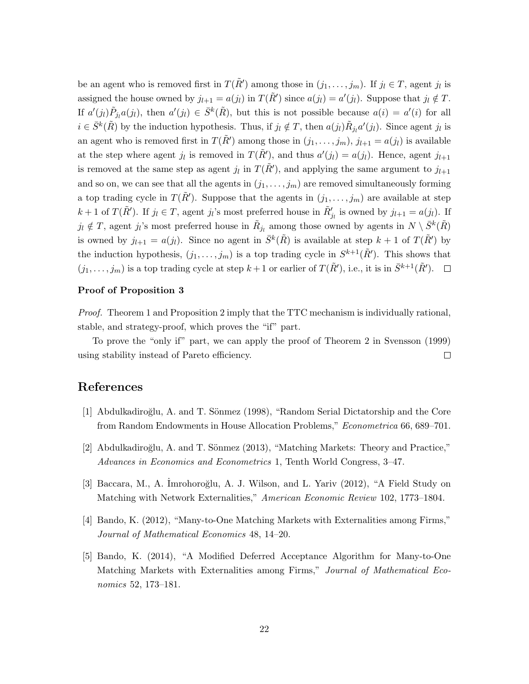be an agent who is removed first in  $T(\tilde{R}')$  among those in  $(j_1, \ldots, j_m)$ . If  $j_l \in T$ , agent  $j_l$  is assigned the house owned by  $j_{l+1} = a(j_l)$  in  $T(\tilde{R}')$  since  $a(j_l) = a'(j_l)$ . Suppose that  $j_l \notin T$ . If  $a'(j_l)\tilde{P}_{j_l}a(j_l)$ , then  $a'(j_l) \in \bar{S}^k(\tilde{R})$ , but this is not possible because  $a(i) = a'(i)$  for all  $i \in \bar{S}^k(\tilde{R})$  by the induction hypothesis. Thus, if  $j_l \notin T$ , then  $a(j_l)\tilde{R}_{j_l}a'(j_l)$ . Since agent  $j_l$  is an agent who is removed first in  $T(\tilde{R}')$  among those in  $(j_1, \ldots, j_m)$ ,  $j_{l+1} = a(j_l)$  is available at the step where agent  $j_l$  is removed in  $T(\tilde{R}')$ , and thus  $a'(j_l) = a(j_l)$ . Hence, agent  $j_{l+1}$ is removed at the same step as agent  $j_l$  in  $T(\tilde{R}')$ , and applying the same argument to  $j_{l+1}$ and so on, we can see that all the agents in  $(j_1, \ldots, j_m)$  are removed simultaneously forming a top trading cycle in  $T(\tilde{R}')$ . Suppose that the agents in  $(j_1, \ldots, j_m)$  are available at step  $k+1$  of  $T(\tilde{R}')$ . If  $j_l \in T$ , agent  $j_l$ 's most preferred house in  $\tilde{R}'_{j_l}$  is owned by  $j_{l+1} = a(j_l)$ . If  $j_l \notin T$ , agent  $j_l$ 's most preferred house in  $\tilde{R}_{j_l}$  among those owned by agents in  $N \setminus \bar{S}^k(\tilde{R})$ is owned by  $j_{l+1} = a(j_l)$ . Since no agent in  $\bar{S}^k(\tilde{R})$  is available at step  $k+1$  of  $T(\tilde{R}')$  by the induction hypothesis,  $(j_1, \ldots, j_m)$  is a top trading cycle in  $S^{k+1}(\tilde{R}')$ . This shows that  $(j_1, \ldots, j_m)$  is a top trading cycle at step  $k+1$  or earlier of  $T(\tilde{R}'),$  i.e., it is in  $\bar{S}^{k+1}(\tilde{R}').$ 

### **Proof of Proposition 3**

*Proof.* Theorem 1 and Proposition 2 imply that the TTC mechanism is individually rational, stable, and strategy-proof, which proves the "if" part.

To prove the "only if" part, we can apply the proof of Theorem 2 in Svensson (1999) using stability instead of Pareto efficiency.  $\Box$ 

# **References**

- [1] Abdulkadiroğlu, A. and T. Sönmez (1998), "Random Serial Dictatorship and the Core from Random Endowments in House Allocation Problems," *Econometrica* 66, 689–701.
- [2] Abdulkadiroğlu, A. and T. Sönmez (2013), "Matching Markets: Theory and Practice," *Advances in Economics and Econometrics* 1, Tenth World Congress, 3–47.
- [3] Baccara, M., A. Imrohoroğlu, A. J. Wilson, and L. Yariv (2012), "A Field Study on Matching with Network Externalities," *American Economic Review* 102, 1773–1804.
- [4] Bando, K. (2012), "Many-to-One Matching Markets with Externalities among Firms," *Journal of Mathematical Economics* 48, 14–20.
- [5] Bando, K. (2014), "A Modified Deferred Acceptance Algorithm for Many-to-One Matching Markets with Externalities among Firms," *Journal of Mathematical Economics* 52, 173–181.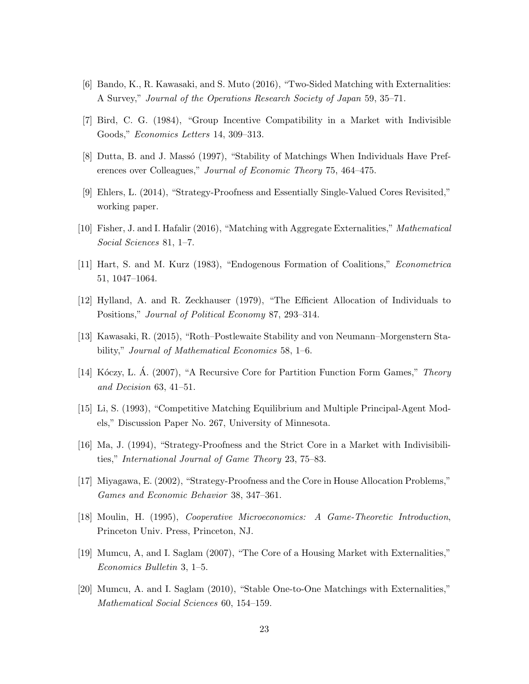- [6] Bando, K., R. Kawasaki, and S. Muto (2016), "Two-Sided Matching with Externalities: A Survey," *Journal of the Operations Research Society of Japan* 59, 35–71.
- [7] Bird, C. G. (1984), "Group Incentive Compatibility in a Market with Indivisible Goods," *Economics Letters* 14, 309–313.
- [8] Dutta, B. and J. Massó (1997), "Stability of Matchings When Individuals Have Preferences over Colleagues," *Journal of Economic Theory* 75, 464–475.
- [9] Ehlers, L. (2014), "Strategy-Proofness and Essentially Single-Valued Cores Revisited," working paper.
- [10] Fisher, J. and I. Hafalir (2016), "Matching with Aggregate Externalities," *Mathematical Social Sciences* 81, 1–7.
- [11] Hart, S. and M. Kurz (1983), "Endogenous Formation of Coalitions," *Econometrica* 51, 1047–1064.
- [12] Hylland, A. and R. Zeckhauser (1979), "The Efficient Allocation of Individuals to Positions," *Journal of Political Economy* 87, 293–314.
- [13] Kawasaki, R. (2015), "Roth–Postlewaite Stability and von Neumann–Morgenstern Stability," *Journal of Mathematical Economics* 58, 1–6.
- [14] K´oczy, L. A. (2007), "A Recursive Core for Partition Function Form Games," ´ *Theory and Decision* 63, 41–51.
- [15] Li, S. (1993), "Competitive Matching Equilibrium and Multiple Principal-Agent Models," Discussion Paper No. 267, University of Minnesota.
- [16] Ma, J. (1994), "Strategy-Proofness and the Strict Core in a Market with Indivisibilities," *International Journal of Game Theory* 23, 75–83.
- [17] Miyagawa, E. (2002), "Strategy-Proofness and the Core in House Allocation Problems," *Games and Economic Behavior* 38, 347–361.
- [18] Moulin, H. (1995), *Cooperative Microeconomics: A Game-Theoretic Introduction*, Princeton Univ. Press, Princeton, NJ.
- [19] Mumcu, A, and I. Saglam (2007), "The Core of a Housing Market with Externalities," *Economics Bulletin* 3, 1–5.
- [20] Mumcu, A. and I. Saglam (2010), "Stable One-to-One Matchings with Externalities," *Mathematical Social Sciences* 60, 154–159.